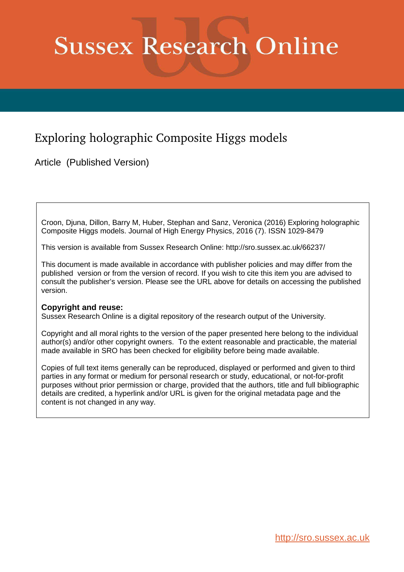# **Sussex Research Online**

# Exploring holographic Composite Higgs models

Article (Published Version)

Croon, Djuna, Dillon, Barry M, Huber, Stephan and Sanz, Veronica (2016) Exploring holographic Composite Higgs models. Journal of High Energy Physics, 2016 (7). ISSN 1029-8479

This version is available from Sussex Research Online: http://sro.sussex.ac.uk/66237/

This document is made available in accordance with publisher policies and may differ from the published version or from the version of record. If you wish to cite this item you are advised to consult the publisher's version. Please see the URL above for details on accessing the published version.

### **Copyright and reuse:**

Sussex Research Online is a digital repository of the research output of the University.

Copyright and all moral rights to the version of the paper presented here belong to the individual author(s) and/or other copyright owners. To the extent reasonable and practicable, the material made available in SRO has been checked for eligibility before being made available.

Copies of full text items generally can be reproduced, displayed or performed and given to third parties in any format or medium for personal research or study, educational, or not-for-profit purposes without prior permission or charge, provided that the authors, title and full bibliographic details are credited, a hyperlink and/or URL is given for the original metadata page and the content is not changed in any way.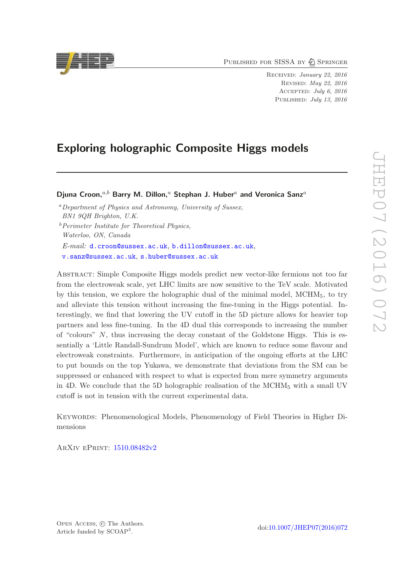PUBLISHED FOR SISSA BY 2 SPRINGER

RECEIVED: January 22, 2016 REVISED: May 22, 2016 Accepted : July 6, 2016 PUBLISHED: July 13, 2016

## Exploring holographic Composite Higgs models

Djuna Croon, $^{a,b}$  Barry M. Dillon, $^a$  Stephan J. Huber $^a$  and Veronica Sanz $^a$ 

<sup>a</sup>Department of Physics and Astronomy, University of Sussex, BN1 9QH Brighton, U.K.  $b$ Perimeter Institute for Theoretical Physics, Waterloo, ON, Canada  $E\text{-}mail: \texttt{d.com@sussex.ac.uk}, \texttt{b.dillon@sussex.ac.uk},$  $E\text{-}mail: \texttt{d.com@sussex.ac.uk}, \texttt{b.dillon@sussex.ac.uk},$  $E\text{-}mail: \texttt{d.com@sussex.ac.uk}, \texttt{b.dillon@sussex.ac.uk},$ [v.sanz@sussex.ac.uk](mailto:v.sanz@sussex.ac.uk) , [s.huber@sussex.ac.uk](mailto:s.huber@sussex.ac.uk)

<span id="page-1-0"></span>Abstract: Simple Composite Higgs models predict new vector-like fermions not too far from the electroweak scale, yet LHC limits are now sensitive to the TeV scale. Motivated by this tension, we explore the holographic dual of the minimal model, MCHM <sup>5</sup>, to try and alleviate this tension without increasing the fine-tuning in the Higgs potential. Interestingly, we find that lowering the UV cutoff in the 5D picture allows for heavier top partners and less fine-tuning. In the 4D dual this corresponds to increasing the number of "colours" N, thus increasing the decay constant of the Goldstone Higgs. This is essentially a 'Little Randall-Sundrum Model', which are known to reduce some flavour and electroweak constraints. Furthermore, in anticipation of the ongoing efforts at the LHC to put bounds on the top Yukawa, we demonstrate that deviations from the SM can be suppressed or enhanced with respect to what is expected from mere symmetry arguments in 4D. We conclude that the 5D holographic realisation of the MCHM <sup>5</sup> with a small UV cutoff is not in tension with the current experimental data.

Keywords: Phenomenological Models, Phenomenology of Field Theories in Higher Dimensions

ArXiv ePrint: [1510.08482v2](http://arxiv.org/abs/1510.08482v2)

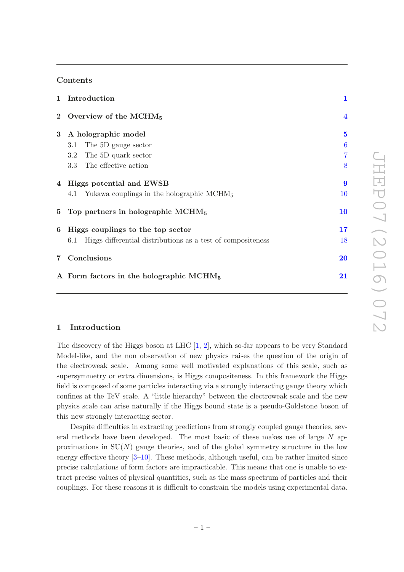#### Contents

|            | 1 Introduction                                                     | $\mathbf{1}$            |
|------------|--------------------------------------------------------------------|-------------------------|
|            | 2 Overview of the MCHM <sub>5</sub>                                | $\overline{\mathbf{4}}$ |
| $3 -$      | A holographic model                                                | $\mathbf{5}$            |
|            | The 5D gauge sector<br>3.1                                         | 6                       |
|            | The 5D quark sector<br>3.2                                         | 7                       |
|            | 3.3 The effective action                                           | 8                       |
|            | 4 Higgs potential and EWSB                                         | $\boldsymbol{9}$        |
|            | 4.1 Yukawa couplings in the holographic MCHM <sub>5</sub>          | 10                      |
|            | 5 Top partners in holographic $MCHM5$                              | 10                      |
| 6          | Higgs couplings to the top sector                                  | 17                      |
|            | Higgs differential distributions as a test of compositeness<br>6.1 | 18                      |
| $7\degree$ | Conclusions                                                        | 20                      |
|            | A Form factors in the holographic $MCHM5$                          | 21                      |

#### 1 Introduction

The discovery of the Higgs boson at LHC [ [1](#page-22-0) , [2](#page-22-1)], which so-far appears to be very Standard Model-like, and the non observation of new physics raises the question of the origin of the electroweak scale. Among some well motivated explanations of this scale, such as supersymmetry or extra dimensions, is Higgs compositeness. In this framework the Higgs field is composed of some particles interacting via a strongly interacting gauge theory which confines at the TeV scale. A "little hierarchy" between the electroweak scale and the new physics scale can arise naturally if the Higgs bound state is a pseudo-Goldstone boson of this new strongly interacting sector.

Despite difficulties in extracting predictions from strongly coupled gauge theories, several methods have been developed. The most basic of these makes use of large  $N$  approximations in  $SU(N)$  gauge theories, and of the global symmetry structure in the low energy effective theory [[3](#page-22-2)[–10](#page-22-3)]. These methods, although useful, can be rather limited since precise calculations of form factors are impracticable. This means that one is unable to extract precise values of physical quantities, such as the mass spectrum of particles and their couplings. For these reasons it is difficult to constrain the models using experimental data.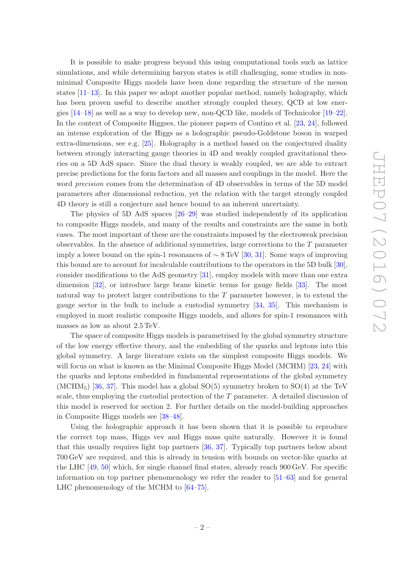It is possible to make progress beyond this using computational tools such as lattice simulations, and while determining baryon states is still challenging, some studies in nonminimal Composite Higgs models have been done regarding the structure of the meson states [\[11](#page-22-4) [–13](#page-22-5)]. In this paper we adopt another popular method, namely holography, which has been proven useful to describe another strongly coupled theory, QCD at low energies [\[14](#page-22-6)[–18\]](#page-23-0) as well as a way to develop new, non-QCD like, models of Technicolor [\[19](#page-23-1)[–22\]](#page-23-2). In the context of Composite Higgses, the pioneer papers of Contino et al. [\[23](#page-23-3), [24](#page-23-4)], followed an intense exploration of the Higgs as a holographic pseudo-Goldstone boson in warped extra-dimensions, see e.g. [\[25](#page-23-5)]. Holography is a method based on the conjectured duality between strongly interacting gauge theories in 4D and weakly coupled gravitational theories on a 5D AdS space. Since the dual theory is weakly coupled, we are able to extract precise predictions for the form factors and all masses and couplings in the model. Here the word *precision* comes from the determination of 4D observables in terms of the 5D model parameters after dimensional reduction, yet the relation with the target strongly coupled 4D theory is still a conjecture and hence bound to an inherent uncertainty.

The physics of 5D AdS spaces [\[26](#page-23-6) [–29](#page-23-7)] was studied independently of its application to composite Higgs models, and many of the results and constraints are the same in both cases. The most important of these are the constraints imposed by the electroweak precision observables. In the absence of additional symmetries, large corrections to the T parameter imply a lower bound on the spin-1 resonances of  $\sim 8 \,\text{TeV}$  [\[30](#page-23-8), [31\]](#page-23-9). Some ways of improving this bound are to account for incalculable contributions to the operators in the 5D bulk [\[30\]](#page-23-8), consider modifications to the AdS geometry [\[31](#page-23-9)], employ models with more than one extra dimension [\[32](#page-23-10)], or introduce large brane kinetic terms for gauge fields [\[33\]](#page-23-11). The most natural way to protect larger contributions to the T parameter however, is to extend the gauge sector in the bulk to include a custodial symmetry [\[34](#page-23-12) , [35\]](#page-23-13). This mechanism is employed in most realistic composite Higgs models, and allows for spin-1 resonances with masses as low as about 2 .5 TeV.

The space of composite Higgs models is parametrised by the global symmetry structure of the low energy effective theory, and the embedding of the quarks and leptons into this global symmetry. A large literature exists on the simplest composite Higgs models. We will focus on what is known as the Minimal Composite Higgs Model (MCHM) [\[23](#page-23-3), [24\]](#page-23-4) with the quarks and leptons embedded in fundamental representations of the global symmetry (MCHM<sub>5</sub>) [\[36](#page-23-14), [37\]](#page-23-15). This model has a global  $SO(5)$  symmetry broken to  $SO(4)$  at the TeV scale, thus employing the custodial protection of the T parameter. A detailed discussion of this model is reserved for section 2. For further details on the model-building approaches in Composite Higgs models see [\[38](#page-24-0) [–48](#page-24-1)].

Using the holographic approach it has been shown that it is possible to reproduce the correct top mass, Higgs vev and Higgs mass quite naturally. However it is found that this usually requires light top partners [\[36](#page-23-14) , [37](#page-23-15)]. Typically top partners below about 700 GeV are required, and this is already in tension with bounds on vector-like quarks at the LHC [\[49](#page-24-2) , [50\]](#page-24-3) which, for single channel final states, already reach 900 GeV. For specific information on top partner phenomenology we refer the reader to [\[51](#page-24-4) [–63\]](#page-25-0) and for general LHC phenomenology of the MCHM to  $[64-75]$ .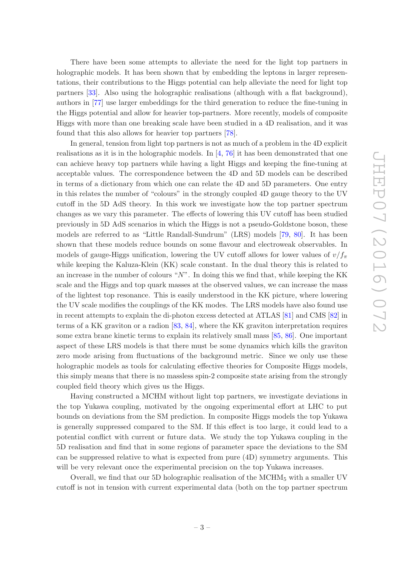There have been some attempts to alleviate the need for the light top partners in holographic models. It has been shown that by embedding the leptons in larger representations, their contributions to the Higgs potential can help alleviate the need for light top partners [\[33\]](#page-23-11). Also using the holographic realisations (although with a flat background), authors in [\[77](#page-26-0)] use larger embeddings for the third generation to reduce the fine-tuning in the Higgs potential and allow for heavier top-partners. More recently, models of composite Higgs with more than one breaking scale have been studied in a 4D realisation, and it was found that this also allows for heavier top partners [\[78](#page-26-1)].

<span id="page-4-0"></span>In general, tension from light top partners is not as much of a problem in the 4D explicit realisations as it is in the holographic models. In [[4](#page-22-7), [76\]](#page-25-3) it has been demonstrated that one can achieve heavy top partners while having a light Higgs and keeping the fine-tuning at acceptable values. The correspondence between the 4D and 5D models can be described in terms of a dictionary from which one can relate the 4D and 5D parameters. One entry in this relates the number of "colours" in the strongly coupled 4D gauge theory to the UV cutoff in the 5D AdS theory. In this work we investigate how the top partner spectrum changes as we vary this parameter. The effects of lowering this UV cutoff has been studied previously in 5D AdS scenarios in which the Higgs is not a pseudo-Goldstone boson, these models are referred to as "Little Randall-Sundrum" (LRS) models [\[79](#page-26-2) , [80\]](#page-26-3). It has been shown that these models reduce bounds on some flavour and electroweak observables. In models of gauge-Higgs unification, lowering the UV cutoff allows for lower values of  $v/f_\pi$ while keeping the Kaluza-Klein (KK) scale constant. In the dual theory this is related to an increase in the number of colours " N". In doing this we find that, while keeping the KK scale and the Higgs and top quark masses at the observed values, we can increase the mass of the lightest top resonance. This is easily understood in the KK picture, where lowering the UV scale modifies the couplings of the KK modes. The LRS models have also found use in recent attempts to explain the di-photon excess detected at ATLAS [\[81\]](#page-26-4) and CMS [\[82\]](#page-26-5) in terms of a KK graviton or a radion [\[83](#page-26-6) , [84\]](#page-26-7), where the KK graviton interpretation requires some extra brane kinetic terms to explain its relatively small mass [\[85](#page-26-8), [86\]](#page-26-9). One important aspect of these LRS models is that there must be some dynamics which kills the graviton zero mode arising from fluctuations of the background metric. Since we only use these holographic models as tools for calculating effective theories for Composite Higgs models, this simply means that there is no massless spin-2 composite state arising from the strongly coupled field theory which gives us the Higgs.

Having constructed a MCHM without light top partners, we investigate deviations in the top Yukawa coupling, motivated by the ongoing experimental effort at LHC to put bounds on deviations from the SM prediction. In composite Higgs models the top Yukawa is generally suppressed compared to the SM. If this effect is too large, it could lead to a potential conflict with current or future data. We study the top Yukawa coupling in the 5D realisation and find that in some regions of parameter space the deviations to the SM can be suppressed relative to what is expected from pure (4D) symmetry arguments. This will be very relevant once the experimental precision on the top Yukawa increases.

Overall, we find that our 5D holographic realisation of the MCHM <sup>5</sup> with a smaller UV cutoff is not in tension with current experimental data (both on the top partner spectrum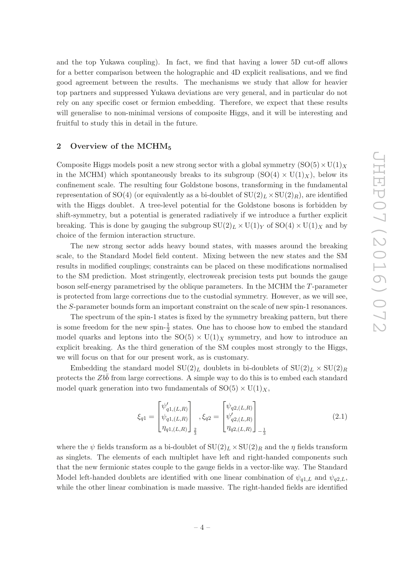and the top Yukawa coupling). In fact, we find that having a lower 5D cut-off allows for a better comparison between the holographic and 4D explicit realisations, and we find good agreement between the results. The mechanisms we study that allow for heavier top partners and suppressed Yukawa deviations are very general, and in particular do not rely on any specific coset or fermion embedding. Therefore, we expect that these results will generalise to non-minimal versions of composite Higgs, and it will be interesting and fruitful to study this in detail in the future.

#### 2 Overview of the MCHM<sub>5</sub>

Composite Higgs models posit a new strong sector with a global symmetry  $(SO(5) \times U(1)_{X}$ in the MCHM) which spontaneously breaks to its subgroup  $(SO(4) \times U(1)_X)$ , below its confinement scale. The resulting four Goldstone bosons, transforming in the fundamental representation of SO(4) (or equivalently as a bi-doublet of  $\mathrm{SU}(2)_L \times \mathrm{SU}(2)_R$ ), are identified with the Higgs doublet. A tree-level potential for the Goldstone bosons is forbidden by shift-symmetry, but a potential is generated radiatively if we introduce a further explicit breaking. This is done by gauging the subgroup  $SU(2)_L \times U(1)_Y$  of  $SO(4) \times U(1)_X$  and by choice of the fermion interaction structure.

<span id="page-5-0"></span>The new strong sector adds heavy bound states, with masses around the breaking scale, to the Standard Model field content. Mixing between the new states and the SM results in modified couplings; constraints can be placed on these modifications normalised to the SM prediction. Most stringently, electroweak precision tests put bounds the gauge boson self-energy parametrised by the oblique parameters. In the MCHM the T-parameter is protected from large corrections due to the custodial symmetry. However, as we will see, the S-parameter bounds form an important constraint on the scale of new spin-1 resonances.

The spectrum of the spin-1 states is fixed by the symmetry breaking pattern, but there is some freedom for the new spin- $\frac{1}{2}$  states. One has to choose how to embed the standard model quarks and leptons into the  $SO(5) \times U(1)_X$  symmetry, and how to introduce an explicit breaking. As the third generation of the SM couples most strongly to the Higgs, we will focus on that for our present work, as is customary.

Embedding the standard model  $SU(2)_L$  doublets in bi-doublets of  $SU(2)_L \times SU(2)_R$ protects the  $Zb\bar{b}$  from large corrections. A simple way to do this is to embed each standard model quark generation into two fundamentals of  $SO(5) \times U(1)_X$ ,

<span id="page-5-1"></span>
$$
\xi_{q1} = \begin{bmatrix} \psi'_{q1,(L,R)} \\ \psi_{q1,(L,R)} \\ \eta_{q1,(L,R)} \end{bmatrix}_{\frac{2}{3}}, \xi_{q2} = \begin{bmatrix} \psi_{q2,(L,R)} \\ \psi'_{q2,(L,R)} \\ \eta_{q2,(L,R)} \end{bmatrix}_{-\frac{1}{3}}
$$
(2.1)

where the  $\psi$  fields transform as a bi-doublet of  $\mathrm{SU}(2)_L \times \mathrm{SU}(2)_R$  and the  $\eta$  fields transform as singlets. The elements of each multiplet have left and right-handed components such that the new fermionic states couple to the gauge fields in a vector-like way. The Standard Model left-handed doublets are identified with one linear combination of  $\psi_{q1,L}$  and  $\psi_{q2,L}$ , while the other linear combination is made massive. The right-handed fields are identified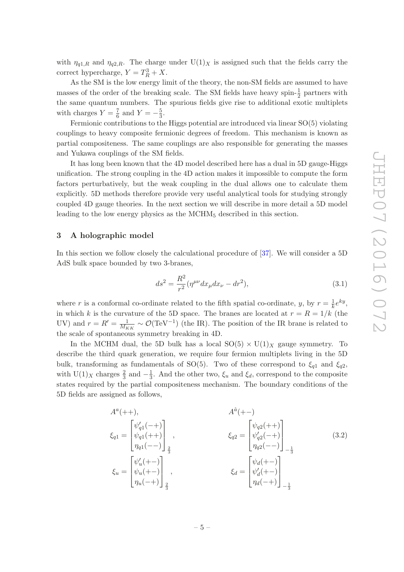with  $\eta_{q1,R}$  and  $\eta_{q2,R}$ . The charge under  $U(1)_X$  is assigned such that the fields carry the correct hypercharge,  $Y = T_R^3 + X$ .

As the SM is the low energy limit of the theory, the non-SM fields are assumed to have masses of the order of the breaking scale. The SM fields have heavy spin- $\frac{1}{2}$  partners with the same quantum numbers. The spurious fields give rise to additional exotic multiplets with charges  $Y = \frac{7}{6}$  and  $Y = -\frac{5}{3}$ .

Fermionic contributions to the Higgs potential are introduced via linear SO(5) violating couplings to heavy composite fermionic degrees of freedom. This mechanism is known as partial compositeness. The same couplings are also responsible for generating the masses and Yukawa couplings of the SM fields.

It has long been known that the 4D model described here has a dual in 5D gauge-Higgs unification. The strong coupling in the 4D action makes it impossible to compute the form factors perturbatively, but the weak coupling in the dual allows one to calculate them explicitly. 5D methods therefore provide very useful analytical tools for studying strongly coupled 4D gauge theories. In the next section we will describe in more detail a 5D model leading to the low energy physics as the MCHM <sup>5</sup> described in this section.

#### <span id="page-6-0"></span>3 A holographic model

In this section we follow closely the calculational procedure of [\[37](#page-23-15)]. We will consider a 5D AdS bulk space bounded by two 3-branes,

$$
ds^{2} = \frac{R^{2}}{r^{2}} (\eta^{\mu\nu} dx_{\mu} dx_{\nu} - dr^{2}),
$$
\n(3.1)

where r is a conformal co-ordinate related to the fifth spatial co-ordinate, y, by  $r = \frac{1}{k}$  $\frac{1}{k}e^{ky}$ , in which k is the curvature of the 5D space. The branes are located at  $r = R = 1/k$  (the UV) and  $r = R' = \frac{1}{M_E}$  $\frac{1}{M_{KK}} \sim \mathcal{O}(\text{TeV}^{-1})$  (the IR). The position of the IR brane is related to the scale of spontaneous symmetry breaking in 4D.

In the MCHM dual, the 5D bulk has a local  $SO(5) \times U(1)_X$  gauge symmetry. To describe the third quark generation, we require four fermion multiplets living in the 5D bulk, transforming as fundamentals of SO(5). Two of these correspond to  $\xi_{q1}$  and  $\xi_{q2}$ , with  $U(1)_X$  charges  $\frac{2}{3}$  and  $-\frac{1}{3}$ . And the other two,  $\xi_u$  and  $\xi_d$ , correspond to the composite states required by the partial compositeness mechanism. The boundary conditions of the 5D fields are assigned as follows,

$$
A^{a}(++) , \qquad A^{\hat{a}}(+-)
$$
\n
$$
\xi_{q1} = \begin{bmatrix} \psi'_{q1}(-+) \\ \psi_{q1}(++) \\ \eta_{q1}(--) \end{bmatrix}_{\frac{2}{3}}, \qquad \xi_{q2} = \begin{bmatrix} \psi_{q2}(++) \\ \psi'_{q2}(-+) \\ \eta_{q2}(--) \end{bmatrix}_{-\frac{1}{3}}, \qquad (3.2)
$$
\n
$$
\xi_{u} = \begin{bmatrix} \psi'_{u}(+-) \\ \psi_{u}(+-) \\ \eta_{u}(-+) \end{bmatrix}_{\frac{2}{3}}, \qquad \xi_{d} = \begin{bmatrix} \psi_{d}(+-) \\ \psi'_{d}(-+) \\ \eta_{d}(-+) \end{bmatrix}_{-\frac{1}{3}}
$$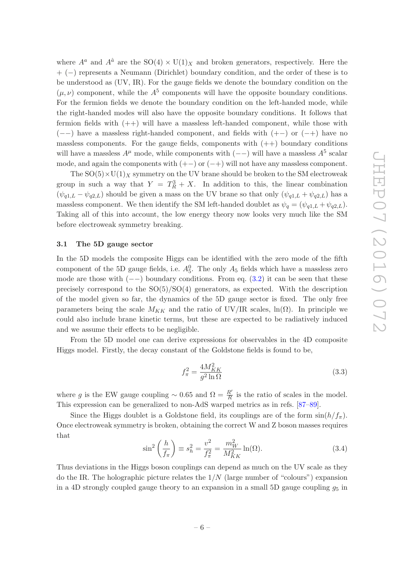where  $A^a$  and  $A^{\hat{a}}$  are the  $SO(4) \times U(1)_X$  and broken generators, respectively. Here the + ( −) represents a Neumann (Dirichlet) boundary condition, and the order of these is to be understood as (UV, IR). For the gauge fields we denote the boundary condition on the  $(\mu, \nu)$  component, while the  $A^5$  components will have the opposite boundary conditions. For the fermion fields we denote the boundary condition on the left-handed mode, while the right-handed modes will also have the opposite boundary conditions. It follows that fermion fields with  $(++)$  will have a massless left-handed component, while those with  $(--)$  have a massless right-handed component, and fields with  $(+-)$  or  $(-+)$  have no massless components. For the gauge fields, components with  $(++)$  boundary conditions will have a massless  $A^{\mu}$  mode, while components with  $(--)$  will have a massless  $A^{5}$  scalar mode, and again the components with  $(+-)$  or  $(-+)$  will not have any massless component.

The  $SO(5) \times U(1)_X$  symmetry on the UV brane should be broken to the SM electroweak group in such a way that  $Y = T_R^3 + X$ . In addition to this, the linear combination  $(\psi_{q1,L} - \psi_{q2,L})$  should be given a mass on the UV brane so that only  $(\psi_{q1,L} + \psi_{q2,L})$  has a massless component. We then identify the SM left-handed doublet as  $\psi_q = (\psi_{q1,L} + \psi_{q2,L}).$ Taking all of this into account, the low energy theory now looks very much like the SM before electroweak symmetry breaking.

#### 3.1 The 5D gauge sector

<span id="page-7-0"></span>In the 5D models the composite Higgs can be identified with the zero mode of the fifth component of the 5D gauge fields, i.e.  $A_5^0$ . The only  $A_5$  fields which have a massless zero mode are those with  $(--)$  boundary conditions. From eq.  $(3.2)$  it can be seen that these precisely correspond to the SO(5) /SO(4) generators, as expected. With the description of the model given so far, the dynamics of the 5D gauge sector is fixed. The only free parameters being the scale  $M_{KK}$  and the ratio of UV/IR scales, ln( $\Omega$ ). In principle we could also include brane kinetic terms, but these are expected to be radiatively induced and we assume their effects to be negligible.

From the 5D model one can derive expressions for observables in the 4D composite Higgs model. Firstly, the decay constant of the Goldstone fields is found to be,

$$
f_{\pi}^2 = \frac{4M_{KK}^2}{g^2 \ln \Omega} \tag{3.3}
$$

where g is the EW gauge coupling  $\sim 0.65$  and  $\Omega = \frac{R'}{R}$  $\frac{R'}{R}$  is the ratio of scales in the model. This expression can be generalized to non-AdS warped metrics as in refs. [\[87](#page-26-10)[–89\]](#page-26-11).

Since the Higgs doublet is a Goldstone field, its couplings are of the form  $\sin(h/f_\pi)$ . Once electroweak symmetry is broken, obtaining the correct W and Z boson masses requires that

$$
\sin^2\left(\frac{h}{f_\pi}\right) \equiv s_h^2 = \frac{v^2}{f_\pi^2} = \frac{m_W^2}{M_{KK}^2} \ln(\Omega). \tag{3.4}
$$

Thus deviations in the Higgs boson couplings can depend as much on the UV scale as they do the IR. The holographic picture relates the  $1/N$  (large number of "colours") expansion in a 4D strongly coupled gauge theory to an expansion in a small 5D gauge coupling  $g_5$  in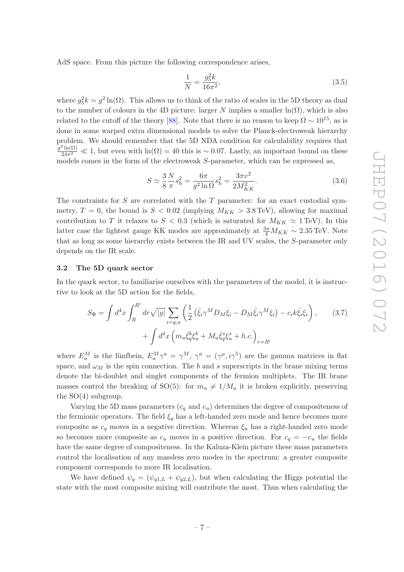<span id="page-8-0"></span>AdS space. From this picture the following correspondence arises,

$$
\frac{1}{N} = \frac{g_5^2 k}{16\pi^2},\tag{3.5}
$$

where  $g_5^2 k = g^2 \ln(\Omega)$ . This allows us to think of the ratio of scales in the 5D theory as dual to the number of colours in the 4D picture: larger N implies a smaller  $\ln(\Omega)$ , which is also related to the cutoff of the theory [\[88](#page-26-12)]. Note that there is no reason to keep  $\Omega \sim 10^{15}$ , as is done in some warped extra dimensional models to solve the Planck-electroweak hierarchy problem. We should remember that the 5D NDA condition for calculability requires that  $g^2\ln(\Omega)$  $\frac{\ln(N)}{24\pi^2} \ll 1$ , but even with  $\ln(\Omega) = 40$  this is ~ 0.07. Lastly, an important bound on these models comes in the form of the electroweak S-parameter, which can be expressed as,

$$
S \simeq \frac{3}{8} \frac{N}{\pi} s_h^2 = \frac{6\pi}{g^2 \ln \Omega} s_h^2 = \frac{3\pi v^2}{2M_{KK}^2}.
$$
 (3.6)

The constraints for S are correlated with the T parameter: for an exact custodial symmetry,  $T = 0$ , the bound is  $S < 0.02$  (implying  $M_{KK} > 3.8 \text{ TeV}$ ), allowing for maximal contribution to T it relaxes to  $S < 0.3$  (which is saturated for  $M_{KK} \simeq 1 \,\text{TeV}$ ). In this latter case the lightest gauge KK modes are approximately at  $\frac{3\pi}{4}$  $\frac{3\pi}{4}M_{KK} \sim 2.35 \,\text{TeV}$ . Note that as long as some hierarchy exists between the IR and UV scales, the S-parameter only depends on the IR scale.

#### 3.2 The 5D quark sector

In the quark sector, to familiarise ourselves with the parameters of the model, it is instructive to look at the 5D action for the fields,

<span id="page-8-1"></span>
$$
S_{\Phi} = \int d^4x \int_R^{R'} dr \sqrt{|g|} \sum_{i=q,u} \left( \frac{1}{2} \left( \bar{\xi}_i \gamma^M D_M \xi_i - D_M \bar{\xi}_i \gamma^M \xi_i \right) - c_i k \bar{\xi}_i \xi_i \right), \qquad (3.7)
$$

$$
+ \int d^4x \left( m_u \bar{\xi}_q^b \xi_u^b + M_u \bar{\xi}_q^s \xi_u^s + h.c. \right)_{r=R'}
$$

where  $E_a^M$  is the fünfbein,  $E_a^M \gamma^a = \gamma^M$ ,  $\gamma^a = (\gamma^\mu, i\gamma^5)$  are the gamma matrices in flat space, and  $\omega_M$  is the spin connection. The b and s superscripts in the brane mixing terms denote the bi-doublet and singlet components of the fermion multiplets. The IR brane masses control the breaking of SO(5): for  $m_u \neq 1/M_u$  it is broken explicitly, preserving the  $SO(4)$  subgroup.

<span id="page-8-2"></span>Varying the 5D mass parameters  $(c_q \text{ and } c_u)$  determines the degree of compositeness of the fermionic operators. The field  $\xi_q$  has a left-handed zero mode and hence becomes more composite as  $c_q$  moves in a negative direction. Whereas  $\xi_u$  has a right-handed zero mode so becomes more composite as  $c_u$  moves in a positive direction. For  $c_q = -c_u$  the fields have the same degree of compositeness. In the Kaluza-Klein picture these mass parameters control the localisation of any massless zero modes in the spectrum: a greater composite component corresponds to more IR localisation.

We have defined  $\psi_q = (\psi_{q1,L} + \psi_{q2,L})$ , but when calculating the Higgs potential the state with the most composite mixing will contribute the most. Thus when calculating the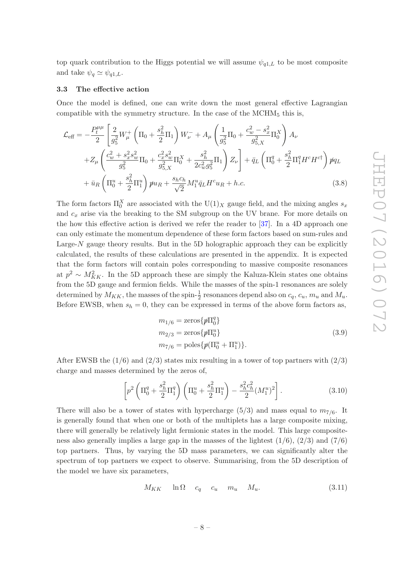top quark contribution to the Higgs potential we will assume  $\psi_{q1,L}$  to be most composite and take  $\psi_q \simeq \psi_{q1,L}$ .

#### 3.3 The effective action

Once the model is defined, one can write down the most general effective Lagrangian compatible with the symmetry structure. In the case of the  $MCHM<sub>5</sub>$  this is,

<span id="page-9-0"></span>
$$
\mathcal{L}_{\text{eff}} = -\frac{P_t^{\mu\mu}}{2} \left[ \frac{2}{g_5^2} W_\mu^+ \left( \Pi_0 + \frac{s_h^2}{2} \Pi_1 \right) W_\nu^- + A_\mu \left( \frac{1}{g_5^2} \Pi_0 + \frac{c_w^2 - s_x^2}{g_{5,X}^2} \Pi_0^X \right) A_\nu \right. \left. + Z_\mu \left( \frac{c_w^2 + s_x^2 s_w^2}{g_5^2} \Pi_0 + \frac{c_x^2 s_w^2}{g_{5,X}^2} \Pi_0^X + \frac{s_h^2}{2c_w^2 g_5^2} \Pi_1 \right) Z_\nu \right] + \bar{q}_L \left( \Pi_0^q + \frac{s_h^2}{2} \Pi_1^q H^c H^{c\dagger} \right) p q_L + \bar{u}_R \left( \Pi_0^u + \frac{s_h^2}{2} \Pi_1^u \right) p u_R + \frac{s_h c_h}{\sqrt{2}} M_1^u \bar{q}_L H^c u_R + h.c. \right)
$$
\n(3.8)

The form factors  $\Pi_0^X$  are associated with the  $U(1)_X$  gauge field, and the mixing angles  $s_x$ and c <sup>x</sup> arise via the breaking to the SM subgroup on the UV brane. For more details on the how this effective action is derived we refer the reader to [\[37](#page-23-15)]. In a 4D approach one can only estimate the momentum dependence of these form factors based on sum-rules and Large-N gauge theory results. But in the 5D holographic approach they can be explicitly calculated, the results of these calculations are presented in the appendix. It is expected that the form factors will contain poles corresponding to massive composite resonances at  $p^2 \sim M_{KK}^2$ . In the 5D approach these are simply the Kaluza-Klein states one obtains from the 5D gauge and fermion fields. While the masses of the spin-1 resonances are solely determined by  $M_{KK}$ , the masses of the spin- $\frac{1}{2}$  resonances depend also on  $c_q$ ,  $c_u$ ,  $m_u$  and  $M_u$ . Before EWSB, when  $s_h = 0$ , they can be expressed in terms of the above form factors as,

<span id="page-9-3"></span>
$$
m_{1/6} = \text{zeros}\{\hat{p}\Pi_0^q\}
$$
  
\n
$$
m_{2/3} = \text{zeros}\{\hat{p}\Pi_0^u\}
$$
  
\n
$$
m_{7/6} = \text{poles}\{\hat{p}(\Pi_0^u + \Pi_1^u)\}.
$$
\n(3.9)

After EWSB the  $(1/6)$  and  $(2/3)$  states mix resulting in a tower of top partners with  $(2/3)$ charge and masses determined by the zeros of,

<span id="page-9-1"></span>
$$
\left[ p^2 \left( \Pi_0^q + \frac{s_h^2}{2} \Pi_1^q \right) \left( \Pi_0^u + \frac{s_h^2}{2} \Pi_1^u \right) - \frac{s_h^2 c_h^2}{2} (M_1^u)^2 \right]. \tag{3.10}
$$

<span id="page-9-2"></span>There will also be a tower of states with hypercharge  $(5/3)$  and mass equal to  $m_{7/6}$ . It is generally found that when one or both of the multiplets has a large composite mixing, there will generally be relatively light fermionic states in the model. This large compositeness also generally implies a large gap in the masses of the lightest  $(1/6)$ ,  $(2/3)$  and  $(7/6)$ top partners. Thus, by varying the 5D mass parameters, we can significantly alter the spectrum of top partners we expect to observe. Summarising, from the 5D description of the model we have six parameters,

$$
M_{KK} \quad \ln \Omega \quad c_q \quad c_u \quad m_u \quad M_u. \tag{3.11}
$$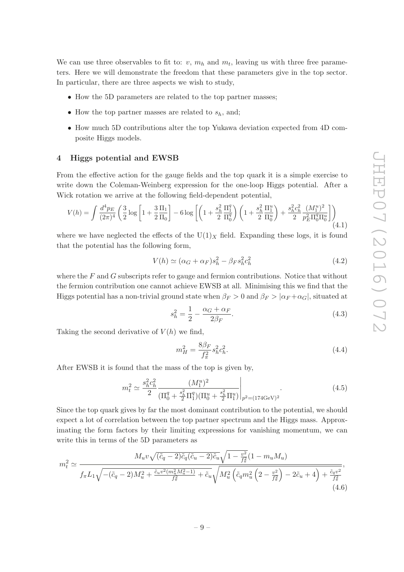We can use three observables to fit to:  $v, m_h$  and  $m_t$ , leaving us with three free parameters. Here we will demonstrate the freedom that these parameters give in the top sector. In particular, there are three aspects we wish to study,

- <span id="page-10-0"></span>• How the 5D parameters are related to the top partner masses;
- How the top partner masses are related to  $s_h$ , and;
- How much 5D contributions alter the top Yukawa deviation expected from 4D composite Higgs models.

#### 4 Higgs potential and EWSB

From the effective action for the gauge fields and the top quark it is a simple exercise to write down the Coleman-Weinberg expression for the one-loop Higgs potential. After a Wick rotation we arrive at the following field-dependent potential,

$$
V(h) = \int \frac{d^4 p_E}{(2\pi)^4} \left( \frac{3}{2} \log \left[ 1 + \frac{3}{2} \frac{\Pi_1}{\Pi_0} \right] - 6 \log \left[ \left( 1 + \frac{s_h^2}{2} \frac{\Pi_1^q}{\Pi_0^q} \right) \left( 1 + \frac{s_h^2}{2} \frac{\Pi_1^u}{\Pi_0^u} \right) + \frac{s_h^2 c_h^2}{2} \frac{(M_1^u)^2}{p_E^2 \Pi_0^q \Pi_0^u} \right] \right) \tag{4.1}
$$

where we have neglected the effects of the  $U(1)_X$  field. Expanding these logs, it is found that the potential has the following form,

$$
V(h) \simeq (\alpha_G + \alpha_F) s_h^2 - \beta_F s_h^2 c_h^2 \tag{4.2}
$$

where the  $F$  and  $G$  subscripts refer to gauge and fermion contributions. Notice that without the fermion contribution one cannot achieve EWSB at all. Minimising this we find that the Higgs potential has a non-trivial ground state when  $\beta_F > 0$  and  $\beta_F > |\alpha_F + \alpha_G|$ , situated at

$$
s_h^2 = \frac{1}{2} - \frac{\alpha_G + \alpha_F}{2\beta_F}.\tag{4.3}
$$

Taking the second derivative of  $V(h)$  we find,

$$
m_H^2 = \frac{8\beta_F}{f_\pi^2} s_h^2 c_h^2.
$$
\n(4.4)

After EWSB it is found that the mass of the top is given by,

$$
m_t^2 \simeq \frac{s_h^2 c_h^2}{2} \frac{(M_1^u)^2}{(\Pi_0^q + \frac{s_h^2}{2} \Pi_1^q)(\Pi_0^u + \frac{s_h^2}{2} \Pi_1^u)}\Big|_{p^2 = (174 \text{GeV})^2}.
$$
 (4.5)

<span id="page-10-1"></span>Since the top quark gives by far the most dominant contribution to the potential, we should expect a lot of correlation between the top partner spectrum and the Higgs mass. Approximating the form factors by their limiting expressions for vanishing momentum, we can write this in terms of the 5D parameters as

$$
m_t^2 \simeq \frac{M_u v \sqrt{(\tilde{c}_q - 2)\tilde{c}_q (\tilde{c}_u - 2)\tilde{c}_u} \sqrt{1 - \frac{v^2}{f_\pi^2}} (1 - m_u M_u)}{f_\pi L_1 \sqrt{-(\tilde{c}_q - 2)M_u^2 + \frac{\tilde{c}_u v^2 (m_u^2 M_u^2 - 1)}{f_\pi^2} + \tilde{c}_u} \sqrt{M_u^2 \left(\tilde{c}_q m_u^2 \left(2 - \frac{v^2}{f_\pi^2}\right) - 2\tilde{c}_u + 4\right) + \frac{\tilde{c}_q v^2}{f_\pi^2}}},\tag{4.6}
$$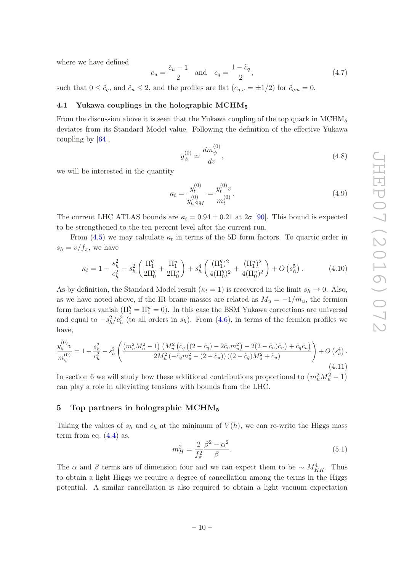where we have defined

$$
c_u = \frac{\tilde{c}_u - 1}{2} \quad \text{and} \quad c_q = \frac{1 - \tilde{c}_q}{2},\tag{4.7}
$$

such that  $0 \leq \tilde{c}_q$ , and  $\tilde{c}_u \leq 2$ , and the profiles are flat  $(c_{q,u} = \pm 1/2)$  for  $\tilde{c}_{q,u} = 0$ .

#### 4.1 Yukawa couplings in the holographic MCHM<sub>5</sub>

From the discussion above it is seen that the Yukawa coupling of the top quark in MCHM<sub>5</sub> deviates from its Standard Model value. Following the definition of the effective Yukawa coupling by [\[64](#page-25-1)],

$$
y_{\psi}^{(0)} \simeq \frac{dm_{\psi}^{(0)}}{dv},\tag{4.8}
$$

we will be interested in the quantity

$$
\kappa_t = \frac{y_t^{(0)}}{y_{t,SM}^{(0)}} = \frac{y_t^{(0)}v}{m_t^{(0)}}.
$$
\n(4.9)

The current LHC ATLAS bounds are  $\kappa_t = 0.94 \pm 0.21$  at  $2\sigma$  [\[90\]](#page-26-13). This bound is expected to be strengthened to the ten percent level after the current run.

From  $(4.5)$  we may calculate  $\kappa_t$  in terms of the 5D form factors. To quartic order in  $s_h = v/f_\pi$ , we have

$$
\kappa_t = 1 - \frac{s_h^2}{c_h^2} - s_h^2 \left( \frac{\Pi_1^q}{2\Pi_0^q} + \frac{\Pi_1^u}{2\Pi_0^u} \right) + s_h^4 \left( \frac{(\Pi_1^q)^2}{4(\Pi_0^q)^2} + \frac{(\Pi_1^u)^2}{4(\Pi_0^u)^2} \right) + O\left(s_h^5\right). \tag{4.10}
$$

As by definition, the Standard Model result ( $\kappa_t = 1$ ) is recovered in the limit  $s_h \to 0$ . Also, as we have noted above, if the IR brane masses are related as  $M_u = -1/m_u$ , the fermion form factors vanish  $(\Pi_1^q = \Pi_1^u = 0)$ . In this case the BSM Yukawa corrections are universal and equal to  $-s_h^2/c_h^2$  (to all orders in  $s_h$ ). From [\(4.6\)](#page-9-2), in terms of the fermion profiles we have,

$$
\frac{y_{\psi}^{(0)}v}{m_{\psi}^{(0)}} = 1 - \frac{s_h^2}{c_h^2} - s_h^2 \left( \frac{\left(m_u^2 M_u^2 - 1\right) \left(M_u^2 \left(\tilde{c}_q \left((2 - \tilde{c}_q) - 2\tilde{c}_u m_u^2\right) - 2(2 - \tilde{c}_u)\tilde{c}_u\right) + \tilde{c}_q \tilde{c}_u\right)}{2M_u^2 \left(-\tilde{c}_q m_u^2 - (2 - \tilde{c}_u)\right) \left((2 - \tilde{c}_q)M_u^2 + \tilde{c}_u\right)} \right) + O\left(s_h^4\right). \tag{4.11}
$$

In section 6 we will study how these additional contributions proportional to  $\left(m_u^2 M_u^2 - 1\right)$ can play a role in alleviating tensions with bounds from the LHC.

#### 5 Top partners in holographic MCHM<sub>5</sub>

Taking the values of  $s_h$  and  $c_h$  at the minimum of  $V(h)$ , we can re-write the Higgs mass term from eq.  $(4.4)$  as,

$$
m_H^2 = \frac{2}{f_\pi^2} \frac{\beta^2 - \alpha^2}{\beta}.
$$
\n(5.1)

The  $\alpha$  and  $\beta$  terms are of dimension four and we can expect them to be  $\sim M_{KK}^4$ . Thus to obtain a light Higgs we require a degree of cancellation among the terms in the Higgs potential. A similar cancellation is also required to obtain a light vacuum expectation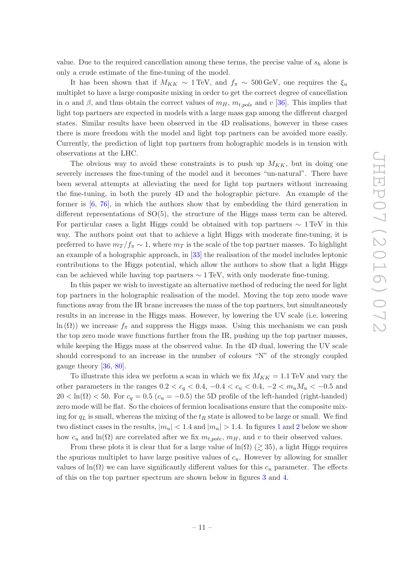<span id="page-12-0"></span>value. Due to the required cancellation among these terms, the precise value of  $s_h$  alone is only a crude estimate of the fine-tuning of the model.

It has been shown that if  $M_{KK} \sim 1 \,\text{TeV}$ , and  $f_{\pi} \sim 500 \,\text{GeV}$ , one requires the  $\xi_u$ multiplet to have a large composite mixing in order to get the correct degree of cancellation in  $\alpha$  and  $\beta$ , and thus obtain the correct values of  $m_H$ ,  $m_{t,pole}$  and  $v$  [\[36\]](#page-23-14). This implies that light top partners are expected in models with a large mass gap among the different charged states. Similar results have been observed in the 4D realisations, however in these cases there is more freedom with the model and light top partners can be avoided more easily. Currently, the prediction of light top partners from holographic models is in tension with observations at the LHC.

<span id="page-12-1"></span>The obvious way to avoid these constraints is to push up  $M_{KK}$ , but in doing one severely increases the fine-tuning of the model and it becomes "un-natural". There have been several attempts at alleviating the need for light top partners without increasing the fine-tuning, in both the purely 4D and the holographic picture. An example of the former is [ [6](#page-22-8) , [76](#page-25-3)], in which the authors show that by embedding the third generation in different representations of SO(5), the structure of the Higgs mass term can be altered. For particular cases a light Higgs could be obtained with top partners  $\sim 1 \,\text{TeV}$  in this way. The authors point out that to achieve a light Higgs with moderate fine-tuning, it is preferred to have  $m_T/f_\pi \sim 1$ , where  $m_T$  is the scale of the top partner masses. To highlight an example of a holographic approach, in [\[33](#page-23-11)] the realisation of the model includes leptonic contributions to the Higgs potential, which allow the authors to show that a light Higgs can be achieved while having top partners  $\sim 1 \,\text{TeV}$ , with only moderate fine-tuning.

<span id="page-12-2"></span>In this paper we wish to investigate an alternative method of reducing the need for light top partners in the holographic realisation of the model. Moving the top zero mode wave functions away from the IR brane increases the mass of the top partners, but simultaneously results in an increase in the Higgs mass. However, by lowering the UV scale (i.e. lowering  $\ln(\Omega)$  we increase  $f_{\pi}$  and suppress the Higgs mass. Using this mechanism we can push the top zero mode wave functions further from the IR, pushing up the top partner masses, while keeping the Higgs mass at the observed value. In the 4D dual, lowering the UV scale should correspond to an increase in the number of colours "N" of the strongly coupled gauge theory [\[36](#page-23-14) , [80](#page-26-3)].

To illustrate this idea we perform a scan in which we fix  $M_{KK} = 1.1 \text{ TeV}$  and vary the other parameters in the ranges  $0.2 < c_q < 0.4, -0.4 < c_u < 0.4, -2 < m_u M_u < -0.5$  and  $20 < \ln(\Omega) < 50$ . For  $c_q = 0.5$  ( $c_u = -0.5$ ) the 5D profile of the left-handed (right-handed) zero mode will be flat. So the choices of fermion localisations ensure that the composite mixing for  $q_L$  is small, whereas the mixing of the  $t_R$  state is allowed to be large or small. We find two distinct cases in the results,  $|m_u|$  < [1](#page-12-0).4 and  $|m_u|$  > 1.4. In figures 1 and [2](#page-12-1) below we show how  $c_u$  and  $\ln(\Omega)$  are correlated after we fix  $m_{t,pole}$ ,  $m_H$ , and v to their observed values.

From these plots it is clear that for a large value of  $\ln(\Omega)$  ( $\gtrsim$  35), a light Higgs requires the spurious multiplet to have large positive values of  $c<sub>u</sub>$ . However by allowing for smaller values of  $\ln(\Omega)$  we can have significantly different values for this  $c_u$  parameter. The effects of this on the top partner spectrum are shown below in figures [3](#page-12-2) and [4](#page-13-0) .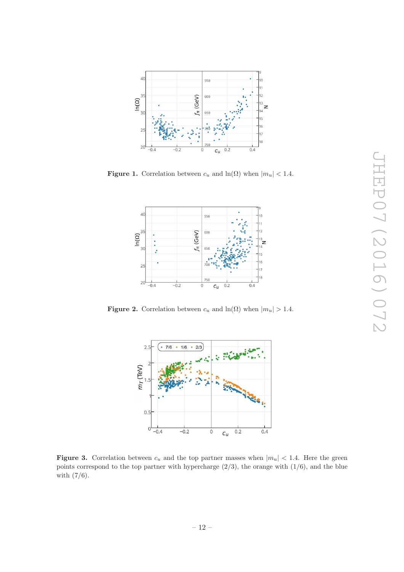<span id="page-13-0"></span>

<span id="page-13-1"></span>**Figure 1.** Correlation between  $c_u$  and  $\ln(\Omega)$  when  $|m_u| < 1.4$ .



**Figure 2.** Correlation between  $c_u$  and  $\ln(\Omega)$  when  $|m_u| > 1.4$ .



**Figure 3.** Correlation between  $c_u$  and the top partner masses when  $|m_u|$  < 1.4. Here the green points correspond to the top partner with hypercharge  $(2/3)$ , the orange with  $(1/6)$ , and the blue with (7/6).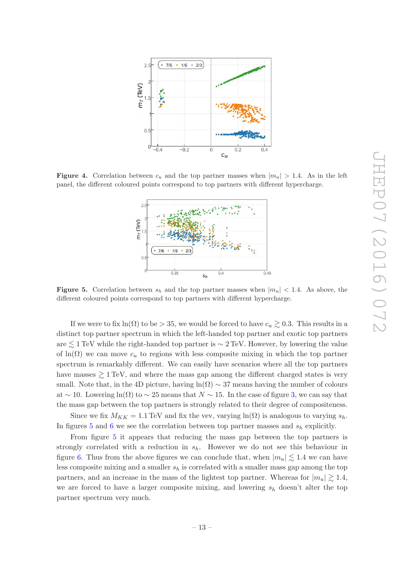<span id="page-14-0"></span>

<span id="page-14-1"></span>**Figure 4.** Correlation between  $c_u$  and the top partner masses when  $|m_u| > 1.4$ . As in the left panel, the different coloured points correspond to top partners with different hypercharge.



**Figure 5.** Correlation between  $s_h$  and the top partner masses when  $|m_u|$  < 1.4. As above, the different coloured points correspond to top partners with different hypercharge.

If we were to fix  $\ln(\Omega)$  to be  $> 35$ , we would be forced to have  $c_u \gtrsim 0.3$ . This results in a distinct top partner spectrum in which the left-handed top partner and exotic top partners are  $\lesssim 1\,\text{TeV}$  while the right-handed top partner is  $\sim 2\,\text{TeV}$ . However, by lowering the value of  $\ln(\Omega)$  we can move  $c_u$  to regions with less composite mixing in which the top partner spectrum is remarkably different. We can easily have scenarios where all the top partners have masses  $\gtrsim 1 \,\text{TeV}$ , and where the mass gap among the different charged states is very small. Note that, in the 4D picture, having  $ln(\Omega) \sim 37$  means having the number of colours at  $\sim$  10. Lowering ln( $\Omega$ ) to  $\sim$  25 means that  $N \sim 15$ . In the case of figure [3,](#page-12-2) we can say that the mass gap between the top partners is strongly related to their degree of compositeness.

Since we fix  $M_{KK} = 1.1 \text{ TeV}$  and fix the vev, varying  $\ln(\Omega)$  is analogous to varying  $s_h$ . In figures [5](#page-13-1) and [6](#page-14-0) we see the correlation between top partner masses and  $s_h$  explicitly.

From figure [5](#page-13-1) it appears that reducing the mass gap between the top partners is strongly correlated with a reduction in  $s_h$ . However we do not see this behaviour in figure [6.](#page-14-0) Thus from the above figures we can conclude that, when  $|m_u| \lesssim 1.4$  we can have less composite mixing and a smaller  $s_h$  is correlated with a smaller mass gap among the top partners, and an increase in the mass of the lightest top partner. Whereas for  $|m_u| \gtrsim 1.4$ , we are forced to have a larger composite mixing, and lowering  $s_h$  doesn't alter the top partner spectrum very much.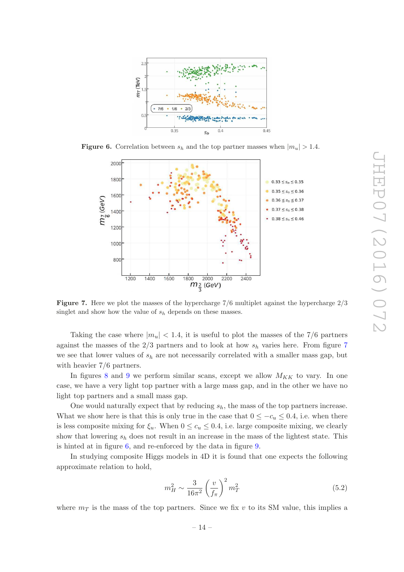<span id="page-15-0"></span>

<span id="page-15-1"></span>**Figure 6.** Correlation between  $s_h$  and the top partner masses when  $|m_u| > 1.4$ .



<span id="page-15-2"></span>**Figure 7.** Here we plot the masses of the hypercharge  $7/6$  multiplet against the hypercharge  $2/3$ singlet and show how the value of  $s_h$  depends on these masses.

Taking the case where  $|m_u|$  < 1.4, it is useful to plot the masses of the 7/6 partners against the masses of the  $2/3$  partners and to look at how  $s_h$  varies here. From figure [7](#page-14-1) we see that lower values of  $s_h$  are not necessarily correlated with a smaller mass gap, but with heavier 7 /6 partners.

In figures [8](#page-15-0) and [9](#page-15-1) we perform similar scans, except we allow  $M_{KK}$  to vary. In one case, we have a very light top partner with a large mass gap, and in the other we have no light top partners and a small mass gap.

One would naturally expect that by reducing  $s_h$ , the mass of the top partners increase. What we show here is that this is only true in the case that  $0 \leq -c_u \leq 0.4$ , i.e. when there is less composite mixing for  $\xi_u$ . When  $0 \le c_u \le 0.4$ , i.e. large composite mixing, we clearly show that lowering  $s_h$  does not result in an increase in the mass of the lightest state. This is hinted at in figure [6,](#page-14-0) and re-enforced by the data in figure [9](#page-15-1) .

In studying composite Higgs models in 4D it is found that one expects the following approximate relation to hold,

$$
m_H^2 \sim \frac{3}{16\pi^2} \left(\frac{v}{f_\pi}\right)^2 m_T^2 \tag{5.2}
$$

where  $m<sub>T</sub>$  is the mass of the top partners. Since we fix v to its SM value, this implies a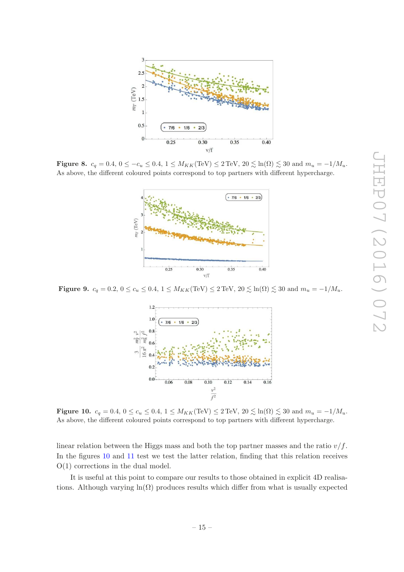<span id="page-16-0"></span>

**Figure 8.**  $c_q = 0.4, 0 \le -c_u \le 0.4, 1 \le M_{KK}(\text{TeV}) \le 2 \text{TeV}, 20 \lesssim \text{ln}(\Omega) \lesssim 30 \text{ and } m_u = -1/M_u$ . As above, the different coloured points correspond to top partners with different hypercharge.



**Figure 9.**  $c_q = 0.2, 0 \le c_u \le 0.4, 1 \le M_{KK}(\text{TeV}) \le 2 \text{TeV}, 20 \lesssim \ln(\Omega) \lesssim 30 \text{ and } m_u = -1/M_u$ .

<span id="page-16-1"></span>

**Figure 10.**  $c_q = 0.4, 0 \le c_u \le 0.4, 1 \le M_{KK}(\text{TeV}) \le 2 \text{TeV}, 20 \lesssim \text{ln}(\Omega) \lesssim 30 \text{ and } m_u = -1/M_u$ . As above, the different coloured points correspond to top partners with different hypercharge.

linear relation between the Higgs mass and both the top partner masses and the ratio  $v/f$ . In the figures [10](#page-15-2) and [11](#page-16-0) test we test the latter relation, finding that this relation receives O(1) corrections in the dual model.

It is useful at this point to compare our results to those obtained in explicit 4D realisations. Although varying  $ln(\Omega)$  produces results which differ from what is usually expected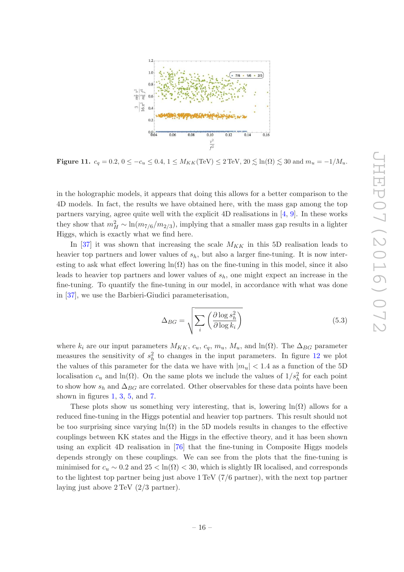<span id="page-17-1"></span>

Figure 11.  $c_q = 0.2, 0 \le -c_u \le 0.4, 1 \le M_{KK}(\text{TeV}) \le 2 \text{TeV}, 20 \lesssim \text{ln}(\Omega) \lesssim 30 \text{ and } m_u = -1/M_u$ .

<span id="page-17-0"></span>in the holographic models, it appears that doing this allows for a better comparison to the 4D models. In fact, the results we have obtained here, with the mass gap among the top partners varying, agree quite well with the explicit 4D realisations in [ [4](#page-22-7) , [9\]](#page-22-9). In these works they show that  $m_H^2 \sim \ln(m_{7/6}/m_{2/3})$ , implying that a smaller mass gap results in a lighter Higgs, which is exactly what we find here.

In [\[37](#page-23-15)] it was shown that increasing the scale  $M_{KK}$  in this 5D realisation leads to heavier top partners and lower values of  $s_h$ , but also a larger fine-tuning. It is now interesting to ask what effect lowering  $ln(\Omega)$  has on the fine-tuning in this model, since it also leads to heavier top partners and lower values of  $s_h$ , one might expect an increase in the fine-tuning. To quantify the fine-tuning in our model, in accordance with what was done in [\[37](#page-23-15)], we use the Barbieri-Giudici parameterisation,

$$
\Delta_{BG} = \sqrt{\sum_{i} \left( \frac{\partial \log s_h^2}{\partial \log k_i} \right)} \tag{5.3}
$$

where  $k_i$  are our input parameters  $M_{KK}$ ,  $c_u$ ,  $c_q$ ,  $m_u$ ,  $M_u$ , and  $\ln(\Omega)$ . The  $\Delta_{BG}$  parameter measures the sensitivity of  $s_h^2$  to changes in the input parameters. In figure [12](#page-17-1) we plot the values of this parameter for the data we have with  $|m_u|$  < 1.4 as a function of the 5D localisation  $c_u$  and ln( $\Omega$ ). On the same plots we include the values of  $1/s_h^2$  for each point to show how  $s_h$  and  $\Delta_{BG}$  are correlated. Other observables for these data points have been shown in figures  $1, 3, 5$  $1, 3, 5$  $1, 3, 5$  $1, 3, 5$ , and  $7$ .

These plots show us something very interesting, that is, lowering  $ln(\Omega)$  allows for a reduced fine-tuning in the Higgs potential and heavier top partners. This result should not be too surprising since varying  $\ln(\Omega)$  in the 5D models results in changes to the effective couplings between KK states and the Higgs in the effective theory, and it has been shown using an explicit 4D realisation in [\[76](#page-25-3)] that the fine-tuning in Composite Higgs models depends strongly on these couplings. We can see from the plots that the fine-tuning is minimised for  $c_u \sim 0.2$  and  $25 < \ln(\Omega) < 30$ , which is slightly IR localised, and corresponds to the lightest top partner being just above 1 TeV (7 /6 partner), with the next top partner laying just above 2 TeV (2 /3 partner).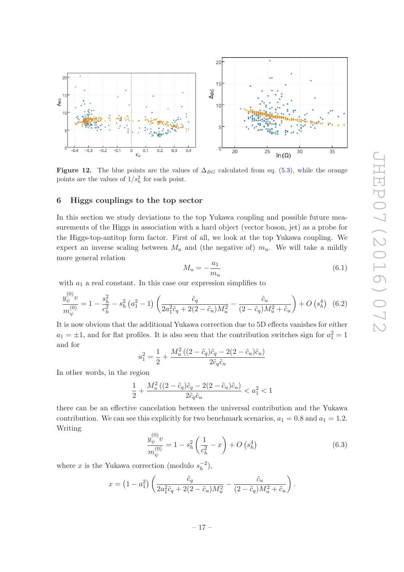<span id="page-18-1"></span>

Figure 12. The blue points are the values of  $\Delta_{BG}$  calculated from eq. [\(5.3\)](#page-16-1), while the orange points are the values of  $1/s_h^2$  for each point.

#### <span id="page-18-2"></span>6 Higgs couplings to the top sector

In this section we study deviations to the top Yukawa coupling and possible future measurements of the Higgs in association with a hard object (vector boson, jet) as a probe for the Higgs-top-antitop form factor. First of all, we look at the top Yukawa coupling. We expect an inverse scaling between  $M_u$  and (the negative of)  $m_u$ . We will take a mildly more general relation

$$
M_u = -\frac{a_1}{m_u} \tag{6.1}
$$

with  $a_1$  a real constant. In this case our expression simplifies to

$$
\frac{y_{\psi}^{(0)}v}{m_{\psi}^{(0)}} = 1 - \frac{s_h^2}{c_h^2} - s_h^2 \left(a_1^2 - 1\right) \left(\frac{\tilde{c}_q}{2a_1^2 \tilde{c}_q + 2(2 - \tilde{c}_u)M_u^2} - \frac{\tilde{c}_u}{(2 - \tilde{c}_q)M_u^2 + \tilde{c}_u}\right) + O\left(s_h^4\right) \tag{6.2}
$$

It is now obvious that the additional Yukawa correction due to 5D effects vanishes for either  $a_1 = \pm 1$ , and for flat profiles. It is also seen that the contribution switches sign for  $a_1^2 = 1$ and for

$$
a_1^2 = \frac{1}{2} + \frac{M_u^2 \left( (2 - \tilde{c}_q) \tilde{c}_q - 2(2 - \tilde{c}_u) \tilde{c}_u \right)}{2 \tilde{c}_q \tilde{c}_u}
$$

In other words, in the region

$$
\frac{1}{2} + \frac{M_u^2 \left( (2-\tilde{c}_q) \tilde{c}_q - 2(2-\tilde{c}_u) \tilde{c}_u \right)}{2 \tilde{c}_q \tilde{c}_u} < a_1^2 < 1
$$

there can be an effective cancelation between the universal contribution and the Yukawa contribution. We can see this explicitly for two benchmark scenarios,  $a_1 = 0.8$  and  $a_1 = 1.2$ . Writing

$$
\frac{y_{\psi}^{(0)}v}{m_{\psi}^{(0)}} = 1 - s_h^2 \left(\frac{1}{c_h^2} - x\right) + O\left(s_h^4\right)
$$
\n(6.3)

<span id="page-18-0"></span>where x is the Yukawa correction (modulo  $s_h^{-2}$ )  $\binom{-2}{h},$ 

$$
x = (1 - a_1^2) \left( \frac{\tilde{c}_q}{2a_1^2 \tilde{c}_q + 2(2 - \tilde{c}_u)M_u^2} - \frac{\tilde{c}_u}{(2 - \tilde{c}_q)M_u^2 + \tilde{c}_u} \right).
$$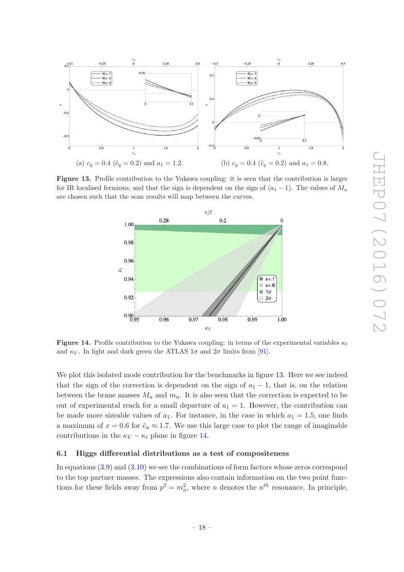<span id="page-19-0"></span>

Figure 13. Profile contribution to the Yukawa coupling: it is seen that the contribution is larger for IR localised fermions, and that the sign is dependent on the sign of  $(a_1 - 1)$ . The values of  $M_u$ are chosen such that the scan results will map between the curves.



Figure 14. Profile contribution to the Yukawa coupling: in terms of the experimental variables  $\kappa_t$ and  $\kappa_V$ . In light and dark green the ATLAS  $1\sigma$  and  $2\sigma$  limits from [\[91\]](#page-26-14).

We plot this isolated mode contribution for the benchmarks in figure [13.](#page-18-1) Here we see indeed that the sign of the correction is dependent on the sign of  $a_1 - 1$ , that is, on the relation between the brane masses  $M_u$  and  $m_u$ . It is also seen that the correction is expected to be out of experimental reach for a small departure of  $a_1 = 1$ . However, the contribution can be made more sizeable values of  $a_1$ . For instance, in the case in which  $a_1 = 1.5$ , one finds a maximum of  $x = 0.6$  for  $\tilde{c}_u \approx 1.7$ . We use this large case to plot the range of imaginable contributions in the  $\kappa_V - \kappa_t$  plane in figure [14](#page-18-2).

#### 6.1 Higgs differential distributions as a test of compositeness

In equations [\(3.9\)](#page-8-1) and [\(3.10\)](#page-8-2) we see the combinations of form factors whose zeros correspond to the top partner masses. The expressions also contain information on the two point functions for these fields away from  $p^2 = m_n^2$ , where *n* denotes the  $n^{th}$  resonance. In principle,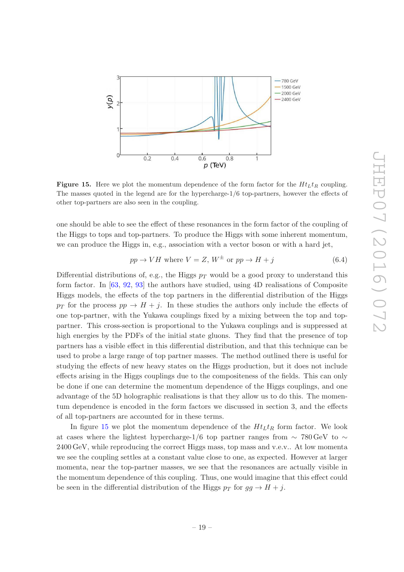<span id="page-20-0"></span>

**Figure 15.** Here we plot the momentum dependence of the form factor for the  $Ht_Lt_R$  coupling. The masses quoted in the legend are for the hypercharge-1 /6 top-partners, however the effects of other top-partners are also seen in the coupling.

one should be able to see the effect of these resonances in the form factor of the coupling of the Higgs to tops and top-partners. To produce the Higgs with some inherent momentum, we can produce the Higgs in, e.g., association with a vector boson or with a hard jet,

$$
pp \to VH \text{ where } V = Z, W^{\pm} \text{ or } pp \to H + j \tag{6.4}
$$

Differential distributions of, e.g., the Higgs  $p_T$  would be a good proxy to understand this form factor. In [\[63](#page-25-0), [92](#page-26-15), [93](#page-26-16)] the authors have studied, using 4D realisations of Composite Higgs models, the effects of the top partners in the differential distribution of the Higgs  $p_T$  for the process  $pp \rightarrow H + j$ . In these studies the authors only include the effects of one top-partner, with the Yukawa couplings fixed by a mixing between the top and toppartner. This cross-section is proportional to the Yukawa couplings and is suppressed at high energies by the PDFs of the initial state gluons. They find that the presence of top partners has a visible effect in this differential distribution, and that this technique can be used to probe a large range of top partner masses. The method outlined there is useful for studying the effects of new heavy states on the Higgs production, but it does not include effects arising in the Higgs couplings due to the compositeness of the fields. This can only be done if one can determine the momentum dependence of the Higgs couplings, and one advantage of the 5D holographic realisations is that they allow us to do this. The momentum dependence is encoded in the form factors we discussed in section 3, and the effects of all top-partners are accounted for in these terms.

In figure [15](#page-19-0) we plot the momentum dependence of the  $H t_L t_R$  form factor. We look at cases where the lightest hypercharge-1/6 top partner ranges from  $\sim 780 \,\text{GeV}$  to  $\sim$ 2400 GeV, while reproducing the correct Higgs mass, top mass and v.e.v.. At low momenta we see the coupling settles at a constant value close to one, as expected. However at larger momenta, near the top-partner masses, we see that the resonances are actually visible in the momentum dependence of this coupling. Thus, one would imagine that this effect could be seen in the differential distribution of the Higgs  $p_T$  for  $gg \to H + j$ .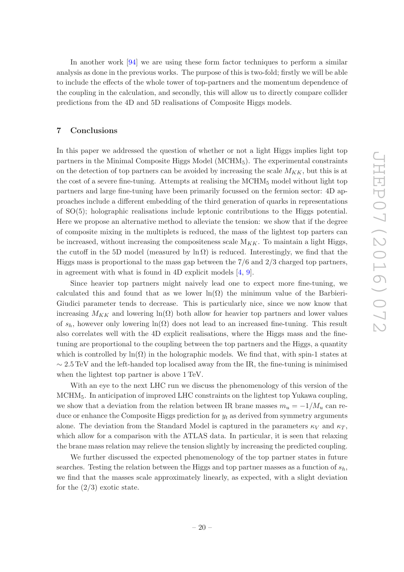In another work [\[94](#page-26-17)] we are using these form factor techniques to perform a similar analysis as done in the previous works. The purpose of this is two-fold; firstly we will be able to include the effects of the whole tower of top-partners and the momentum dependence of the coupling in the calculation, and secondly, this will allow us to directly compare collider predictions from the 4D and 5D realisations of Composite Higgs models.

#### <span id="page-21-0"></span>7 Conclusions

In this paper we addressed the question of whether or not a light Higgs implies light top partners in the Minimal Composite Higgs Model (MCHM <sup>5</sup>). The experimental constraints on the detection of top partners can be avoided by increasing the scale  $M_{KK}$ , but this is at the cost of a severe fine-tuning. Attempts at realising the MCHM <sup>5</sup> model without light top partners and large fine-tuning have been primarily focussed on the fermion sector: 4D approaches include a different embedding of the third generation of quarks in representations of SO(5); holographic realisations include leptonic contributions to the Higgs potential. Here we propose an alternative method to alleviate the tension: we show that if the degree of composite mixing in the multiplets is reduced, the mass of the lightest top parters can be increased, without increasing the compositeness scale  $M_{KK}$ . To maintain a light Higgs, the cutoff in the 5D model (measured by  $\ln \Omega$ ) is reduced. Interestingly, we find that the Higgs mass is proportional to the mass gap between the 7 /6 and 2 /3 charged top partners, in agreement with what is found in 4D explicit models [ [4](#page-22-7) , [9](#page-22-9)].

Since heavier top partners might naively lead one to expect more fine-tuning, we calculated this and found that as we lower  $\ln(\Omega)$  the minimum value of the Barbieri-Giudici parameter tends to decrease. This is particularly nice, since we now know that increasing  $M_{KK}$  and lowering ln( $\Omega$ ) both allow for heavier top partners and lower values of  $s_h$ , however only lowering  $\ln(\Omega)$  does not lead to an increased fine-tuning. This result also correlates well with the 4D explicit realisations, where the Higgs mass and the finetuning are proportional to the coupling between the top partners and the Higgs, a quantity which is controlled by  $\ln(\Omega)$  in the holographic models. We find that, with spin-1 states at  $\sim$  2.5 TeV and the left-handed top localised away from the IR, the fine-tuning is minimised when the lightest top partner is above 1 TeV.

With an eye to the next LHC run we discuss the phenomenology of this version of the MCHM <sup>5</sup>. In anticipation of improved LHC constraints on the lightest top Yukawa coupling, we show that a deviation from the relation between IR brane masses  $m_u = -1/M_u$  can reduce or enhance the Composite Higgs prediction for  $y_t$  as derived from symmetry arguments alone. The deviation from the Standard Model is captured in the parameters  $\kappa_V$  and  $\kappa_T$ , which allow for a comparison with the ATLAS data. In particular, it is seen that relaxing the brane mass relation may relieve the tension slightly by increasing the predicted coupling.

We further discussed the expected phenomenology of the top partner states in future searches. Testing the relation between the Higgs and top partner masses as a function of  $s_h$ , we find that the masses scale approximately linearly, as expected, with a slight deviation for the  $(2/3)$  exotic state.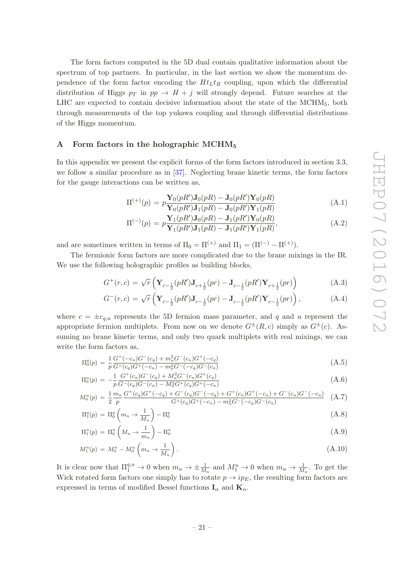The form factors computed in the 5D dual contain qualitative information about the spectrum of top partners. In particular, in the last section we show the momentum dependence of the form factor encoding the  $H_t$ <sub>L</sub>t<sub>R</sub> coupling, upon which the differential distribution of Higgs  $p_T$  in  $pp \to H + j$  will strongly depend. Future searches at the LHC are expected to contain decisive information about the state of the MCHM <sup>5</sup>, both through measurements of the top yukawa coupling and through differential distributions of the Higgs momentum.

#### <span id="page-22-1"></span><span id="page-22-0"></span>A Form factors in the holographic MCHM 5

<span id="page-22-7"></span><span id="page-22-2"></span>In this appendix we present the explicit forms of the form factors introduced in section 3.3, we follow a similar procedure as in [\[37\]](#page-23-15). Neglecting brane kinetic terms, the form factors for the gauge interactions can be written as,

$$
\Pi^{(+)}(p) = p \frac{\mathbf{Y}_0(pR')\mathbf{J}_0(pR) - \mathbf{J}_0(pR')\mathbf{Y}_0(pR)}{\mathbf{Y}_0(pR')\mathbf{J}_1(pR) - \mathbf{J}_0(pR')\mathbf{Y}_1(pR)}
$$
(A.1)

$$
\Pi^{(-)}(p) = p \frac{\mathbf{Y}_1(pR')\mathbf{J}_0(pR) - \mathbf{J}_1(pR')\mathbf{Y}_0(pR)}{\mathbf{Y}_1(pR')\mathbf{J}_1(pR) - \mathbf{J}_1(pR')\mathbf{Y}_1(pR)},
$$
\n(A.2)

<span id="page-22-8"></span>and are sometimes written in terms of  $\Pi_0 = \Pi^{(+)}$  and  $\Pi_1 = (\Pi^{(-)} - \Pi^{(+)})$ .

The fermionic form factors are more complicated due to the brane mixings in the IR. We use the following holographic profiles as building blocks,

$$
G^{+}(r,c) = \sqrt{r} \left( \mathbf{Y}_{c-\frac{1}{2}}(pR') \mathbf{J}_{c+\frac{1}{2}}(pr) - \mathbf{J}_{c-\frac{1}{2}}(pR') \mathbf{Y}_{c+\frac{1}{2}}(pr) \right)
$$
(A.3)

$$
G^{-}(r,c) = \sqrt{r} \left( \mathbf{Y}_{c-\frac{1}{2}}(pR') \mathbf{J}_{c-\frac{1}{2}}(pr) - \mathbf{J}_{c-\frac{1}{2}}(pR') \mathbf{Y}_{c-\frac{1}{2}}(pr) \right), \tag{A.4}
$$

<span id="page-22-9"></span><span id="page-22-4"></span><span id="page-22-3"></span>where  $c = \pm c_{q,u}$  represents the 5D fermion mass parameter, and q and u represent the appropriate fermion multiplets. From now on we denote  $G^{\pm}(R, c)$  simply as  $G^{\pm}(c)$ . Assuming no brane kinetic terms, and only two quark multiplets with real mixings, we can write the form factors as,

$$
\Pi_0^q(p) = \frac{1}{p} \frac{G^+(-c_u)G^-(c_q) + m_u^2 G^-(c_u)G^+(-c_q)}{G^+(c_q)G^+(-c_u) - m_u^2 G^-(c_q)G^-(c_u)} \tag{A.5}
$$

$$
\Pi_0^u(p) = -\frac{1}{p} \frac{G^+(c_u)G^-(c_q) + M_u^2 G^-(c_u)G^+(c_q)}{G^-(c_q)G^-(c_u) - M_u^2 G^+(c_q)G^+(-c_u)}
$$
\n(A.6)

<span id="page-22-5"></span>
$$
M_0^u(p) = \frac{1}{2} \frac{m_u}{p} \frac{G^+(c_q)G^+(-c_q) + G^-(c_q)G^-(-c_q) + G^+(c_u)G^+(-c_u) + G^-(c_u)G^-(-c_u)}{G^+(c_q)G^+(-c_u) - m_u^2G^-(-c_q)G^-(c_u)} \tag{A.7}
$$

<span id="page-22-6"></span>
$$
\Pi_1^q(p) = \Pi_0^q \left( m_u \to \frac{1}{M_u} \right) - \Pi_0^q \tag{A.8}
$$

$$
\Pi_1^u(p) = \Pi_0^u\left(M_u \to \frac{1}{m_u}\right) - \Pi_0^u \tag{A.9}
$$

$$
M_1^u(p) = M_0^u - M_0^u \left( m_u \to \frac{1}{M_u} \right). \tag{A.10}
$$

It is clear now that  $\Pi_1^{q,u} \to 0$  when  $m_u \to \pm \frac{1}{M}$  $\frac{1}{M_u}$  and  $M_1^u \to 0$  when  $m_u \to \frac{1}{M}$  $\frac{1}{M_u}$ . To get the Wick rotated form factors one simply has to rotate  $p \to i p_E$ , the resulting form factors are expressed in terms of modified Bessel functions  $I_{\alpha}$  and  $K_{\alpha}$ .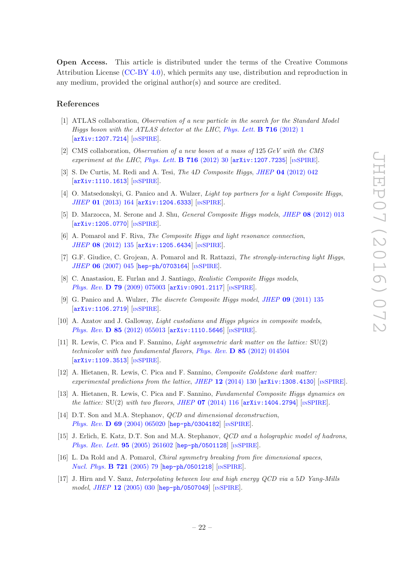<span id="page-23-1"></span><span id="page-23-0"></span>Open Access. This article is distributed under the terms of the Creative Commons Attribution License [\(CC-BY 4.0\)](http://creativecommons.org/licenses/by/4.0/), which permits any use, distribution and reproduction in any medium, provided the original author(s) and source are credited.

#### References

- [1] ATLAS collaboration, Observation of a new particle in the search for the Standard Model Higgs boson with the ATLAS detector at the LHC, [Phys. Lett.](http://dx.doi.org/10.1016/j.physletb.2012.08.020) **B 716** (2012) 1 [[arXiv:1207.7214](http://arxiv.org/abs/1207.7214)] [IN[SPIRE](http://inspirehep.net/search?p=find+EPRINT+arXiv:1207.7214)].
- <span id="page-23-2"></span>[2] CMS collaboration, Observation of a new boson at a mass of 125 GeV with the CMS experiment at the LHC, [Phys. Lett.](http://dx.doi.org/10.1016/j.physletb.2012.08.021) **B** 716 (2012) 30  $[\text{arXiv:1207.7235}]$  $[\text{arXiv:1207.7235}]$  $[\text{arXiv:1207.7235}]$   $[\text{INSPIRE}]$  $[\text{INSPIRE}]$  $[\text{INSPIRE}]$ .
- <span id="page-23-3"></span>[3] S. De Curtis, M. Redi and A. Tesi, *The 4D Composite Higgs, JHEP* **04** [\(2012\) 042](http://dx.doi.org/10.1007/JHEP04(2012)042) [[arXiv:1110.1613](http://arxiv.org/abs/1110.1613)] [IN[SPIRE](http://inspirehep.net/search?p=find+EPRINT+arXiv:1110.1613)].
- <span id="page-23-4"></span>[4] O. Matsedonskyi, G. Panico and A. Wulzer, Light top partners for a light Composite Higgs , JHEP 01 [\(2013\) 164](http://dx.doi.org/10.1007/JHEP01(2013)164) [[arXiv:1204.6333](http://arxiv.org/abs/1204.6333)] [IN[SPIRE](http://inspirehep.net/search?p=find+EPRINT+arXiv:1204.6333)].
- <span id="page-23-5"></span>[5] D. Marzocca, M. Serone and J. Shu, *General Composite Higgs models*, *JHEP* 08 [\(2012\) 013](http://dx.doi.org/10.1007/JHEP08(2012)013) [[arXiv:1205.0770](http://arxiv.org/abs/1205.0770)] [IN[SPIRE](http://inspirehep.net/search?p=find+EPRINT+arXiv:1205.0770)].
- <span id="page-23-6"></span>[6] A. Pomarol and F. Riva, The Composite Higgs and light resonance connection , JHEP 08 [\(2012\) 135](http://dx.doi.org/10.1007/JHEP08(2012)135) [[arXiv:1205.6434](http://arxiv.org/abs/1205.6434)] [IN[SPIRE](http://inspirehep.net/search?p=find+EPRINT+arXiv:1205.6434)].
- [7] G.F. Giudice, C. Grojean, A. Pomarol and R. Rattazzi, The strongly-interacting light Higgs, JHEP 06 [\(2007\) 045](http://dx.doi.org/10.1088/1126-6708/2007/06/045) [[hep-ph/0703164](http://arxiv.org/abs/hep-ph/0703164)] [IN[SPIRE](http://inspirehep.net/search?p=find+EPRINT+hep-ph/0703164)].
- [8] C. Anastasiou, E. Furlan and J. Santiago, Realistic Composite Higgs models , Phys. Rev. **D 79** [\(2009\) 075003](http://dx.doi.org/10.1103/PhysRevD.79.075003) [[arXiv:0901.2117](http://arxiv.org/abs/0901.2117)] [IN[SPIRE](http://inspirehep.net/search?p=find+EPRINT+arXiv:0901.2117)].
- <span id="page-23-7"></span>[9] G. Panico and A. Wulzer, *The discrete Composite Higgs model*, *JHEP* **09** [\(2011\) 135](http://dx.doi.org/10.1007/JHEP09(2011)135) [[arXiv:1106.2719](http://arxiv.org/abs/1106.2719)] [IN[SPIRE](http://inspirehep.net/search?p=find+EPRINT+arXiv:1106.2719)].
- <span id="page-23-8"></span>[10] A. Azatov and J. Galloway, Light custodians and Higgs physics in composite models , *Phys. Rev.* **D 85** [\(2012\) 055013](http://dx.doi.org/10.1103/PhysRevD.85.055013) [ $arXiv:1110.5646$ ] [ $nSPIRE$  $nSPIRE$ ].
- <span id="page-23-9"></span>[11] R. Lewis, C. Pica and F. Sannino, Light asymmetric dark matter on the lattice: SU(2) technicolor with two fundamental flavors, Phys. Rev. **D 85** [\(2012\) 014504](http://dx.doi.org/10.1103/PhysRevD.85.014504) [[arXiv:1109.3513](http://arxiv.org/abs/1109.3513)] [IN[SPIRE](http://inspirehep.net/search?p=find+EPRINT+arXiv:1109.3513)].
- <span id="page-23-11"></span><span id="page-23-10"></span>[12] A. Hietanen, R. Lewis, C. Pica and F. Sannino, Composite Goldstone dark matter: experimental predictions from the lattice, JHEP  $12$  [\(2014\) 130](http://dx.doi.org/10.1007/JHEP12(2014)130)  $\text{arXiv:1308}.4130$  [IN[SPIRE](http://inspirehep.net/search?p=find+EPRINT+arXiv:1308.4130)].
- <span id="page-23-12"></span>[13] A. Hietanen, R. Lewis, C. Pica and F. Sannino, Fundamental Composite Higgs dynamics on the lattice:  $SU(2)$  with two flavors, JHEP 07 [\(2014\) 116](http://dx.doi.org/10.1007/JHEP07(2014)116)  $\left[$ [arXiv:1404.2794](http://arxiv.org/abs/1404.2794) $\right]$  [IN[SPIRE](http://inspirehep.net/search?p=find+EPRINT+arXiv:1404.2794)].
- <span id="page-23-13"></span>[14] D.T. Son and M.A. Stephanov, *QCD and dimensional deconstruction*, Phys. Rev. D 69 [\(2004\) 065020](http://dx.doi.org/10.1103/PhysRevD.69.065020) [[hep-ph/0304182](http://arxiv.org/abs/hep-ph/0304182)] [IN[SPIRE](http://inspirehep.net/search?p=find+EPRINT+hep-ph/0304182)].
- [15] J. Erlich, E. Katz, D.T. Son and M.A. Stephanov, *QCD and a holographic model of hadrons*, [Phys. Rev. Lett.](http://dx.doi.org/10.1103/PhysRevLett.95.261602) **95** (2005) 261602 [[hep-ph/0501128](http://arxiv.org/abs/hep-ph/0501128)] [IN[SPIRE](http://inspirehep.net/search?p=find+EPRINT+hep-ph/0501128)].
- <span id="page-23-14"></span>[16] L. Da Rold and A. Pomarol, Chiral symmetry breaking from five dimensional spaces , *[Nucl. Phys.](http://dx.doi.org/10.1016/j.nuclphysb.2005.05.009)*  $\bf{B}$  721 (2005) 79 [[hep-ph/0501218](http://arxiv.org/abs/hep-ph/0501218)] [IN[SPIRE](http://inspirehep.net/search?p=find+EPRINT+hep-ph/0501218)].
- <span id="page-23-15"></span>[17] J. Hirn and V. Sanz, Interpolating between low and high energy QCD via a 5D Yang-Mills model, JHEP 12 [\(2005\) 030](http://dx.doi.org/10.1088/1126-6708/2005/12/030) [[hep-ph/0507049](http://arxiv.org/abs/hep-ph/0507049)] [IN[SPIRE](http://inspirehep.net/search?p=find+EPRINT+hep-ph/0507049)].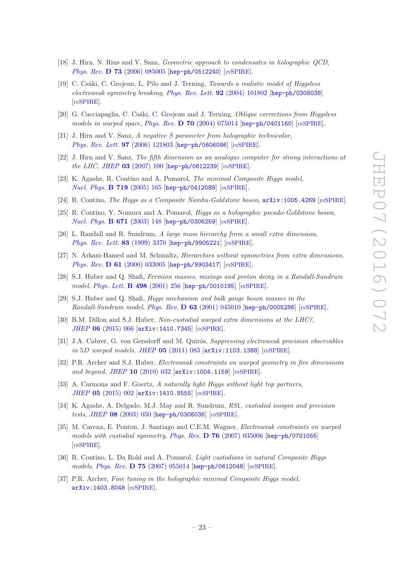- <span id="page-24-0"></span>[18] J. Hirn, N. Rius and V. Sanz, *Geometric approach to condensates in holographic QCD*, Phys. Rev. **D 73** [\(2006\) 085005](http://dx.doi.org/10.1103/PhysRevD.73.085005) [[hep-ph/0512240](http://arxiv.org/abs/hep-ph/0512240)] [IN[SPIRE](http://inspirehep.net/search?p=find+EPRINT+hep-ph/0512240)].
- [19] C. Csáki, C. Grojean, L. Pilo and J. Terning, Towards a realistic model of Higgsless electroweak symmetry breaking, [Phys. Rev. Lett.](http://dx.doi.org/10.1103/PhysRevLett.92.101802) **92** (2004) 101802 [[hep-ph/0308038](http://arxiv.org/abs/hep-ph/0308038)] [IN[SPIRE](http://inspirehep.net/search?p=find+EPRINT+hep-ph/0308038)].
- [20] G. Cacciapaglia, C. Csáki, C. Grojean and J. Terning, *Oblique corrections from Higgsless* models in warped space, Phys. Rev. D 70 [\(2004\) 075014](http://dx.doi.org/10.1103/PhysRevD.70.075014) [[hep-ph/0401160](http://arxiv.org/abs/hep-ph/0401160)] [IN[SPIRE](http://inspirehep.net/search?p=find+EPRINT+hep-ph/0401160)].
- [21] J. Hirn and V. Sanz, A negative S parameter from holographic technicolor, [Phys. Rev. Lett.](http://dx.doi.org/10.1103/PhysRevLett.97.121803) **97** (2006) 121803 [[hep-ph/0606086](http://arxiv.org/abs/hep-ph/0606086)] [IN[SPIRE](http://inspirehep.net/search?p=find+EPRINT+hep-ph/0606086)].
- [22] J. Hirn and V. Sanz, The fifth dimension as an analogue computer for strong interactions at the LHC, JHEP  $03$  [\(2007\) 100](http://dx.doi.org/10.1088/1126-6708/2007/03/100) [[hep-ph/0612239](http://arxiv.org/abs/hep-ph/0612239)] [IN[SPIRE](http://inspirehep.net/search?p=find+EPRINT+hep-ph/0612239)].
- [23] K. Agashe, R. Contino and A. Pomarol, *The minimal Composite Higgs model*, [Nucl. Phys.](http://dx.doi.org/10.1016/j.nuclphysb.2005.04.035) **B 719** (2005) 165 [[hep-ph/0412089](http://arxiv.org/abs/hep-ph/0412089)] [IN[SPIRE](http://inspirehep.net/search?p=find+EPRINT+hep-ph/0412089)].
- [24] R. Contino, *The Higgs as a Composite Nambu-Goldstone boson*,  $arXiv:1005.4269$  [IN[SPIRE](http://inspirehep.net/search?p=find+EPRINT+arXiv:1005.4269)].
- [25] R. Contino, Y. Nomura and A. Pomarol, *Higgs as a holographic pseudo-Goldstone boson*, [Nucl. Phys.](http://dx.doi.org/10.1016/j.nuclphysb.2003.08.027) **B 671** (2003) 148 [[hep-ph/0306259](http://arxiv.org/abs/hep-ph/0306259)] [IN[SPIRE](http://inspirehep.net/search?p=find+EPRINT+hep-ph/0306259)].
- [26] L. Randall and R. Sundrum, A large mass hierarchy from a small extra dimension, [Phys. Rev. Lett.](http://dx.doi.org/10.1103/PhysRevLett.83.3370) 83 (1999) 3370 [[hep-ph/9905221](http://arxiv.org/abs/hep-ph/9905221)] [IN[SPIRE](http://inspirehep.net/search?p=find+EPRINT+hep-ph/9905221)].
- [27] N. Arkani-Hamed and M. Schmaltz, Hierarchies without symmetries from extra dimensions , Phys. Rev. D  $61$  [\(2000\) 033005](http://dx.doi.org/10.1103/PhysRevD.61.033005) [[hep-ph/9903417](http://arxiv.org/abs/hep-ph/9903417)] [IN[SPIRE](http://inspirehep.net/search?p=find+EPRINT+hep-ph/9903417)].
- <span id="page-24-1"></span>[28] S.J. Huber and Q. Shafi, Fermion masses, mixings and proton decay in a Randall-Sundrum model, [Phys. Lett.](http://dx.doi.org/10.1016/S0370-2693(00)01399-X) **B 498** (2001) 256 [[hep-ph/0010195](http://arxiv.org/abs/hep-ph/0010195)] [IN[SPIRE](http://inspirehep.net/search?p=find+EPRINT+hep-ph/0010195)].
- <span id="page-24-2"></span>[29] S.J. Huber and Q. Shafi, Higgs mechanism and bulk gauge boson masses in the Randall-Sundrum model, Phys. Rev. **D 63** [\(2001\) 045010](http://dx.doi.org/10.1103/PhysRevD.63.045010) [[hep-ph/0005286](http://arxiv.org/abs/hep-ph/0005286)] [IN[SPIRE](http://inspirehep.net/search?p=find+EPRINT+hep-ph/0005286)].
- <span id="page-24-3"></span>[30] B.M. Dillon and S.J. Huber, Non-custodial warped extra dimensions at the LHC?, JHEP 06 [\(2015\) 066](http://dx.doi.org/10.1007/JHEP06(2015)066) [[arXiv:1410.7345](http://arxiv.org/abs/1410.7345)] [IN[SPIRE](http://inspirehep.net/search?p=find+EPRINT+arXiv:1410.7345)].
- <span id="page-24-4"></span>[31] J.A. Cabrer, G. von Gersdorff and M. Quirós, Suppressing electroweak precision observables in 5D warped models, JHEP 05 [\(2011\) 083](http://dx.doi.org/10.1007/JHEP05(2011)083) [[arXiv:1103.1388](http://arxiv.org/abs/1103.1388)] [IN[SPIRE](http://inspirehep.net/search?p=find+EPRINT+arXiv:1103.1388)].
- [32] P.R. Archer and S.J. Huber, Electroweak constraints on warped geometry in five dimensions and beyond, JHEP 10 [\(2010\) 032](http://dx.doi.org/10.1007/JHEP10(2010)032) [[arXiv:1004.1159](http://arxiv.org/abs/1004.1159)] [IN[SPIRE](http://inspirehep.net/search?p=find+EPRINT+arXiv:1004.1159)].
- [33] A. Carmona and F. Goertz, A naturally light Higgs without light top partners,  $JHEP$  05 [\(2015\) 002](http://dx.doi.org/10.1007/JHEP05(2015)002)  $[$ [arXiv:1410.8555](http://arxiv.org/abs/1410.8555)]  $[$ IN[SPIRE](http://inspirehep.net/search?p=find+EPRINT+arXiv:1410.8555)].
- [34] K. Agashe, A. Delgado, M.J. May and R. Sundrum, RS1, custodial isospin and precision tests, JHEP 08 [\(2003\) 050](http://dx.doi.org/10.1088/1126-6708/2003/08/050) [[hep-ph/0308036](http://arxiv.org/abs/hep-ph/0308036)] [IN[SPIRE](http://inspirehep.net/search?p=find+EPRINT+hep-ph/0308036)].
- [35] M. Carena, E. Ponton, J. Santiago and C.E.M. Wagner, Electroweak constraints on warped models with custodial symmetry, Phys. Rev. D 76 [\(2007\) 035006](http://dx.doi.org/10.1103/PhysRevD.76.035006) [[hep-ph/0701055](http://arxiv.org/abs/hep-ph/0701055)] [IN[SPIRE](http://inspirehep.net/search?p=find+EPRINT+hep-ph/0701055)].
- [36] R. Contino, L. Da Rold and A. Pomarol, Light custodians in natural Composite Higgs models, Phys. Rev. **D 75** [\(2007\) 055014](http://dx.doi.org/10.1103/PhysRevD.75.055014) [[hep-ph/0612048](http://arxiv.org/abs/hep-ph/0612048)] [IN[SPIRE](http://inspirehep.net/search?p=find+EPRINT+hep-ph/0612048)].
- [37] P.R. Archer, Fine tuning in the holographic minimal Composite Higgs model, [arXiv:1403.8048](http://arxiv.org/abs/1403.8048) [IN[SPIRE](http://inspirehep.net/search?p=find+EPRINT+arXiv:1403.8048)].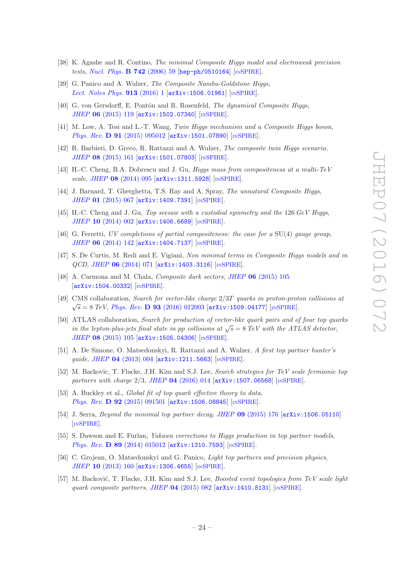- [38] K. Agashe and R. Contino, *The minimal Composite Higgs model and electroweak precision* tests, [Nucl. Phys.](http://dx.doi.org/10.1016/j.nuclphysb.2006.02.011) **B 742** (2006) 59 [[hep-ph/0510164](http://arxiv.org/abs/hep-ph/0510164)] [IN[SPIRE](http://inspirehep.net/search?p=find+EPRINT+hep-ph/0510164)].
- [39] G. Panico and A. Wulzer, *The Composite Nambu-Goldstone Higgs*, [Lect. Notes Phys.](http://dx.doi.org/10.1007/978-3-319-22617-0)  $913$  (2016) 1 [[arXiv:1506.01961](http://arxiv.org/abs/1506.01961)] [IN[SPIRE](http://inspirehep.net/search?p=find+EPRINT+arXiv:1506.01961)].
- [40] G. von Gersdorff, E. Pontón and R. Rosenfeld, *The dynamical Composite Higgs*, JHEP 06 [\(2015\) 119](http://dx.doi.org/10.1007/JHEP06(2015)119) [[arXiv:1502.07340](http://arxiv.org/abs/1502.07340)] [IN[SPIRE](http://inspirehep.net/search?p=find+EPRINT+arXiv:1502.07340)].
- [41] M. Low, A. Tesi and L.-T. Wang, Twin Higgs mechanism and a Composite Higgs boson, Phys. Rev. D 91  $(2015) 095012$   $[arXiv:1501.07890]$  $[arXiv:1501.07890]$  $[arXiv:1501.07890]$   $[insPIRE]$ .
- [42] R. Barbieri, D. Greco, R. Rattazzi and A. Wulzer, The composite twin Higgs scenario, JHEP 08 [\(2015\) 161](http://dx.doi.org/10.1007/JHEP08(2015)161) [[arXiv:1501.07803](http://arxiv.org/abs/1501.07803)] [IN[SPIRE](http://inspirehep.net/search?p=find+EPRINT+arXiv:1501.07803)].
- <span id="page-25-0"></span>[43] H.-C. Cheng, B.A. Dobrescu and J. Gu, Higgs mass from compositeness at a multi-TeV scale , JHEP 08 [\(2014\) 095](http://dx.doi.org/10.1007/JHEP08(2014)095) [[arXiv:1311.5928](http://arxiv.org/abs/1311.5928)] [IN[SPIRE](http://inspirehep.net/search?p=find+EPRINT+arXiv:1311.5928)].
- <span id="page-25-1"></span>[44] J. Barnard, T. Gherghetta, T.S. Ray and A. Spray, *The unnatural Composite Higgs*,  $JHEP$  01 [\(2015\) 067](http://dx.doi.org/10.1007/JHEP01(2015)067)  $[$ [arXiv:1409.7391](http://arxiv.org/abs/1409.7391)]  $[$ IN[SPIRE](http://inspirehep.net/search?p=find+EPRINT+arXiv:1409.7391)].
- [45] H.-C. Cheng and J. Gu, Top seesaw with a custodial symmetry and the 126 GeV Higgs, JHEP 10 [\(2014\) 002](http://dx.doi.org/10.1007/JHEP10(2014)002) [[arXiv:1406.6689](http://arxiv.org/abs/1406.6689)] [IN[SPIRE](http://inspirehep.net/search?p=find+EPRINT+arXiv:1406.6689)].
- [46] G. Ferretti, UV completions of partial compositeness: the case for a SU(4) gauge group , JHEP 06 [\(2014\) 142](http://dx.doi.org/10.1007/JHEP06(2014)142) [[arXiv:1404.7137](http://arxiv.org/abs/1404.7137)] [IN[SPIRE](http://inspirehep.net/search?p=find+EPRINT+arXiv:1404.7137)].
- [47] S. De Curtis, M. Redi and E. Vigiani, Non minimal terms in Composite Higgs models and in QCD , JHEP 06 [\(2014\) 071](http://dx.doi.org/10.1007/JHEP06(2014)071) [[arXiv:1403.3116](http://arxiv.org/abs/1403.3116)] [IN[SPIRE](http://inspirehep.net/search?p=find+EPRINT+arXiv:1403.3116)].
- [48] A. Carmona and M. Chala, *Composite dark sectors*, *JHEP* **06** [\(2015\) 105](http://dx.doi.org/10.1007/JHEP06(2015)105) [[arXiv:1504.00332](http://arxiv.org/abs/1504.00332)] [IN[SPIRE](http://inspirehep.net/search?p=find+EPRINT+arXiv:1504.00332)].
- [49] CMS collaboration, Search for vector-like charge  $2/3T$  quarks in proton-proton collisions at  $\sqrt{s} = 8 \; TeV$ , *Phys. Rev.* **D 93** [\(2016\) 012003](http://dx.doi.org/10.1103/PhysRevD.93.012003) [[arXiv:1509.04177](http://arxiv.org/abs/1509.04177)] [IN[SPIRE](http://inspirehep.net/search?p=find+EPRINT+arXiv:1509.04177)].
- [50] ATLAS collaboration, Search for production of vector-like quark pairs and of four top quarks in the lepton-plus-jets final state in pp collisions at  $\sqrt{s} = 8 \text{ TeV}$  with the ATLAS detector, JHEP 08 [\(2015\) 105](http://dx.doi.org/10.1007/JHEP08(2015)105) [[arXiv:1505.04306](http://arxiv.org/abs/1505.04306)] [IN[SPIRE](http://inspirehep.net/search?p=find+EPRINT+arXiv:1505.04306)].
- [51] A. De Simone, O. Matsedonskyi, R. Rattazzi and A. Wulzer, A first top partner hunter's guide, JHEP 04 [\(2013\) 004](http://dx.doi.org/10.1007/JHEP04(2013)004) [[arXiv:1211.5663](http://arxiv.org/abs/1211.5663)] [IN[SPIRE](http://inspirehep.net/search?p=find+EPRINT+arXiv:1211.5663)].
- [52] M. Backovic, T. Flacke, J.H. Kim and S.J. Lee, Search strategies for TeV scale fermionic top partners with charge 2/3, JHEP 04 [\(2016\) 014](http://dx.doi.org/10.1007/JHEP04(2016)014) [[arXiv:1507.06568](http://arxiv.org/abs/1507.06568)] [IN[SPIRE](http://inspirehep.net/search?p=find+EPRINT+arXiv:1507.06568)].
- [53] A. Buckley et al., *Global fit of top quark effective theory to data*, Phys. Rev. D  $92$  [\(2015\) 091501](http://dx.doi.org/10.1103/PhysRevD.92.091501) [[arXiv:1506.08845](http://arxiv.org/abs/1506.08845)] [IN[SPIRE](http://inspirehep.net/search?p=find+EPRINT+arXiv:1506.08845)].
- [54] J. Serra, *Beyond the minimal top partner decay, JHEP* 09 [\(2015\) 176](http://dx.doi.org/10.1007/JHEP09(2015)176)  $[$ arXiv: 1506.05110 [IN[SPIRE](http://inspirehep.net/search?p=find+EPRINT+arXiv:1506.05110)].
- [55] S. Dawson and E. Furlan, Yukawa corrections to Higgs production in top partner models, Phys. Rev. **D 89** [\(2014\) 015012](http://dx.doi.org/10.1103/PhysRevD.89.015012) [[arXiv:1310.7593](http://arxiv.org/abs/1310.7593)] [IN[SPIRE](http://inspirehep.net/search?p=find+EPRINT+arXiv:1310.7593)].
- <span id="page-25-2"></span>[56] C. Grojean, O. Matsedonskyi and G. Panico, *Light top partners and precision physics*, JHEP 10 [\(2013\) 160](http://dx.doi.org/10.1007/JHEP10(2013)160) [[arXiv:1306.4655](http://arxiv.org/abs/1306.4655)] [IN[SPIRE](http://inspirehep.net/search?p=find+EPRINT+arXiv:1306.4655)].
- <span id="page-25-3"></span>[57] M. Backović, T. Flacke, J.H. Kim and S.J. Lee, Boosted event topologies from TeV scale light quark composite partners , JHEP 04 [\(2015\) 082](http://dx.doi.org/10.1007/JHEP04(2015)082) [[arXiv:1410.8131](http://arxiv.org/abs/1410.8131)] [IN[SPIRE](http://inspirehep.net/search?p=find+EPRINT+arXiv:1410.8131)].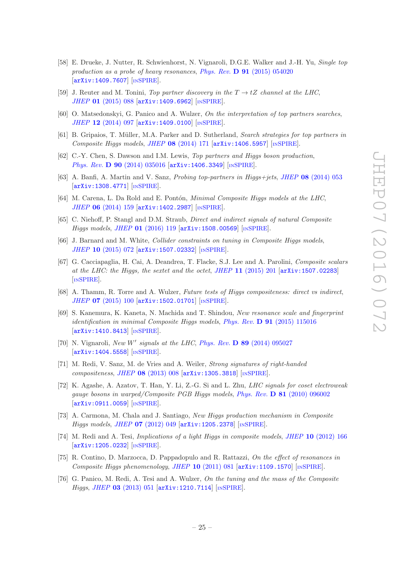- <span id="page-26-0"></span>[58] E. Drueke, J. Nutter, R. Schwienhorst, N. Vignaroli, D.G.E. Walker and J.-H. Yu, Single top production as a probe of heavy resonances, Phys. Rev. **D 91** [\(2015\) 054020](http://dx.doi.org/10.1103/PhysRevD.91.054020) [[arXiv:1409.7607](http://arxiv.org/abs/1409.7607)] [IN[SPIRE](http://inspirehep.net/search?p=find+EPRINT+arXiv:1409.7607)].
- <span id="page-26-2"></span><span id="page-26-1"></span>[59] J. Reuter and M. Tonini, *Top partner discovery in the*  $T \rightarrow tZ$  *channel at the LHC*,  $JHEP$  01 [\(2015\) 088](http://dx.doi.org/10.1007/JHEP01(2015)088)  $[$ [arXiv:1409.6962](http://arxiv.org/abs/1409.6962)]  $[$ IN[SPIRE](http://inspirehep.net/search?p=find+EPRINT+arXiv:1409.6962)].
- <span id="page-26-3"></span>[60] O. Matsedonskyi, G. Panico and A. Wulzer, On the interpretation of top partners searches,  $JHEP$  12 [\(2014\) 097](http://dx.doi.org/10.1007/JHEP12(2014)097)  $[$ [arXiv:1409.0100](http://arxiv.org/abs/1409.0100)]  $[$ IN[SPIRE](http://inspirehep.net/search?p=find+EPRINT+arXiv:1409.0100)].
- <span id="page-26-4"></span>[61] B. Gripaios, T. Müller, M.A. Parker and D. Sutherland, Search strategies for top partners in Composite Higgs models, JHEP  $08$  [\(2014\) 171](http://dx.doi.org/10.1007/JHEP08(2014)171)  $[\text{arXiv:1406.5957}]$  $[\text{arXiv:1406.5957}]$  $[\text{arXiv:1406.5957}]$   $[\text{nsPIRE}]$ .
- [62] C.-Y. Chen, S. Dawson and I.M. Lewis, Top partners and Higgs boson production, Phys. Rev. **D 90** [\(2014\) 035016](http://dx.doi.org/10.1103/PhysRevD.90.035016) [[arXiv:1406.3349](http://arxiv.org/abs/1406.3349)] [IN[SPIRE](http://inspirehep.net/search?p=find+EPRINT+arXiv:1406.3349)].
- <span id="page-26-5"></span>[63] A. Banfi, A. Martin and V. Sanz, *Probing top-partners in Higgs+jets*, *JHEP* 08 [\(2014\) 053](http://dx.doi.org/10.1007/JHEP08(2014)053) [[arXiv:1308.4771](http://arxiv.org/abs/1308.4771)] [IN[SPIRE](http://inspirehep.net/search?p=find+EPRINT+arXiv:1308.4771)].
- <span id="page-26-6"></span>[64] M. Carena, L. Da Rold and E. Pontón, *Minimal Composite Higgs models at the LHC*, JHEP 06 [\(2014\) 159](http://dx.doi.org/10.1007/JHEP06(2014)159) [[arXiv:1402.2987](http://arxiv.org/abs/1402.2987)] [IN[SPIRE](http://inspirehep.net/search?p=find+EPRINT+arXiv:1402.2987)].
- <span id="page-26-7"></span>[65] C. Niehoff, P. Stangl and D.M. Straub, Direct and indirect signals of natural Composite Higgs models, JHEP 01 [\(2016\) 119](http://dx.doi.org/10.1007/JHEP01(2016)119) [[arXiv:1508.00569](http://arxiv.org/abs/1508.00569)] [IN[SPIRE](http://inspirehep.net/search?p=find+EPRINT+arXiv:1508.00569)].
- <span id="page-26-8"></span>[66] J. Barnard and M. White, *Collider constraints on tuning in Composite Higgs models*, JHEP 10 [\(2015\) 072](http://dx.doi.org/10.1007/JHEP10(2015)072) [[arXiv:1507.02332](http://arxiv.org/abs/1507.02332)] [IN[SPIRE](http://inspirehep.net/search?p=find+EPRINT+arXiv:1507.02332)].
- <span id="page-26-10"></span><span id="page-26-9"></span>[67] G. Cacciapaglia, H. Cai, A. Deandrea, T. Flacke, S.J. Lee and A. Parolini, Composite scalars at the LHC: the Higgs, the sextet and the octet, JHEP  $11$  [\(2015\) 201](http://dx.doi.org/10.1007/JHEP11(2015)201) [[arXiv:1507.02283](http://arxiv.org/abs/1507.02283)] [IN[SPIRE](http://inspirehep.net/search?p=find+EPRINT+arXiv:1507.02283)].
- <span id="page-26-12"></span>[68] A. Thamm, R. Torre and A. Wulzer, Future tests of Higgs compositeness: direct vs indirect, JHEP 07 [\(2015\) 100](http://dx.doi.org/10.1007/JHEP07(2015)100) [[arXiv:1502.01701](http://arxiv.org/abs/1502.01701)] [IN[SPIRE](http://inspirehep.net/search?p=find+EPRINT+arXiv:1502.01701)].
- <span id="page-26-11"></span>[69] S. Kanemura, K. Kaneta, N. Machida and T. Shindou, New resonance scale and fingerprint identification in minimal Composite Higgs models, *Phys. Rev.* **D 91** [\(2015\) 115016](http://dx.doi.org/10.1103/PhysRevD.91.115016) [[arXiv:1410.8413](http://arxiv.org/abs/1410.8413)] [IN[SPIRE](http://inspirehep.net/search?p=find+EPRINT+arXiv:1410.8413)].
- <span id="page-26-13"></span>[70] N. Vignaroli, New W' signals at the LHC, Phys. Rev.  $\bf{D}$  89 [\(2014\) 095027](http://dx.doi.org/10.1103/PhysRevD.89.095027) [[arXiv:1404.5558](http://arxiv.org/abs/1404.5558)] [IN[SPIRE](http://inspirehep.net/search?p=find+EPRINT+arXiv:1404.5558)].
- <span id="page-26-14"></span>[71] M. Redi, V. Sanz, M. de Vries and A. Weiler, *Strong signatures of right-handed* compositeness , JHEP 08 [\(2013\) 008](http://dx.doi.org/10.1007/JHEP08(2013)008) [[arXiv:1305.3818](http://arxiv.org/abs/1305.3818)] [IN[SPIRE](http://inspirehep.net/search?p=find+EPRINT+arXiv:1305.3818)].
- <span id="page-26-15"></span>[72] K. Agashe, A. Azatov, T. Han, Y. Li, Z.-G. Si and L. Zhu, LHC signals for coset electroweak gauge bosons in warped/Composite PGB Higgs models, Phys. Rev.  $\bf{D} 81$  [\(2010\) 096002](http://dx.doi.org/10.1103/PhysRevD.81.096002) [[arXiv:0911.0059](http://arxiv.org/abs/0911.0059)] [IN[SPIRE](http://inspirehep.net/search?p=find+EPRINT+arXiv:0911.0059)].
- <span id="page-26-16"></span>[73] A. Carmona, M. Chala and J. Santiago, New Higgs production mechanism in Composite Higgs models, JHEP 07 [\(2012\) 049](http://dx.doi.org/10.1007/JHEP07(2012)049) [[arXiv:1205.2378](http://arxiv.org/abs/1205.2378)] [IN[SPIRE](http://inspirehep.net/search?p=find+EPRINT+arXiv:1205.2378)].
- <span id="page-26-17"></span>[74] M. Redi and A. Tesi, *Implications of a light Higgs in composite models, JHEP* 10 [\(2012\) 166](http://dx.doi.org/10.1007/JHEP10(2012)166) [[arXiv:1205.0232](http://arxiv.org/abs/1205.0232)] [IN[SPIRE](http://inspirehep.net/search?p=find+EPRINT+arXiv:1205.0232)].
- [75] R. Contino, D. Marzocca, D. Pappadopulo and R. Rattazzi, On the effect of resonances in Composite Higgs phenomenology, JHEP 10 [\(2011\) 081](http://dx.doi.org/10.1007/JHEP10(2011)081) [[arXiv:1109.1570](http://arxiv.org/abs/1109.1570)] [IN[SPIRE](http://inspirehep.net/search?p=find+EPRINT+arXiv:1109.1570)].
- [76] G. Panico, M. Redi, A. Tesi and A. Wulzer, On the tuning and the mass of the Composite Higgs, JHEP 03 [\(2013\) 051](http://dx.doi.org/10.1007/JHEP03(2013)051) [[arXiv:1210.7114](http://arxiv.org/abs/1210.7114)] [IN[SPIRE](http://inspirehep.net/search?p=find+EPRINT+arXiv:1210.7114)].